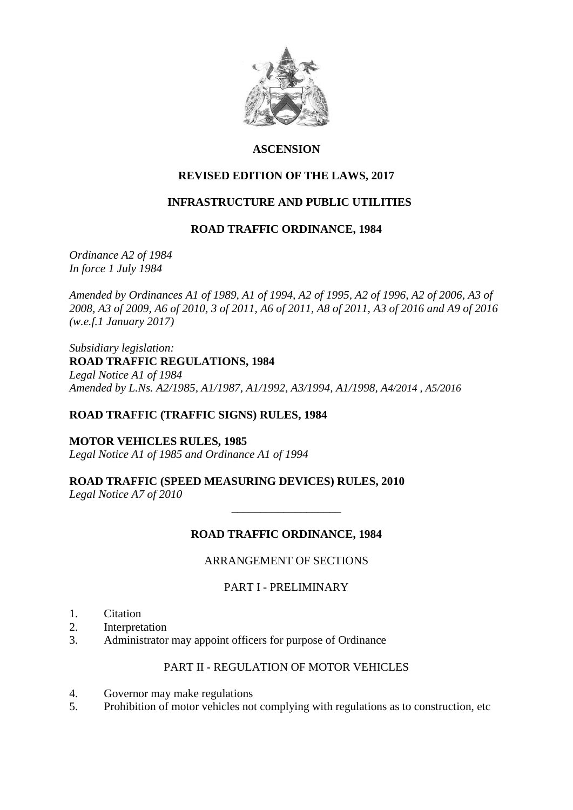

# **ASCENSION**

# **REVISED EDITION OF THE LAWS, 2017**

# **INFRASTRUCTURE AND PUBLIC UTILITIES**

# **ROAD TRAFFIC ORDINANCE, 1984**

*Ordinance A2 of 1984 In force 1 July 1984*

*Amended by Ordinances A1 of 1989, A1 of 1994, A2 of 1995, A2 of 1996, A2 of 2006, A3 of 2008, A3 of 2009, A6 of 2010, 3 of 2011, A6 of 2011, A8 of 2011, A3 of 2016 and A9 of 2016 (w.e.f.1 January 2017)*

*Subsidiary legislation:* **ROAD TRAFFIC REGULATIONS, 1984** *Legal Notice A1 of 1984 Amended by L.Ns. A2/1985, A1/1987, A1/1992, A3/1994, A1/1998, A4/2014 , A5/2016*

# **ROAD TRAFFIC (TRAFFIC SIGNS) RULES, 1984**

**MOTOR VEHICLES RULES, 1985** *Legal Notice A1 of 1985 and Ordinance A1 of 1994*

# **ROAD TRAFFIC (SPEED MEASURING DEVICES) RULES, 2010**

*Legal Notice A7 of 2010*

# **ROAD TRAFFIC ORDINANCE, 1984**

\_\_\_\_\_\_\_\_\_\_\_\_\_\_\_\_\_\_\_

# ARRANGEMENT OF SECTIONS

# PART I - PRELIMINARY

- 1. Citation
- 2. Interpretation
- 3. Administrator may appoint officers for purpose of Ordinance

# PART II - REGULATION OF MOTOR VEHICLES

- 4. Governor may make regulations
- 5. Prohibition of motor vehicles not complying with regulations as to construction, etc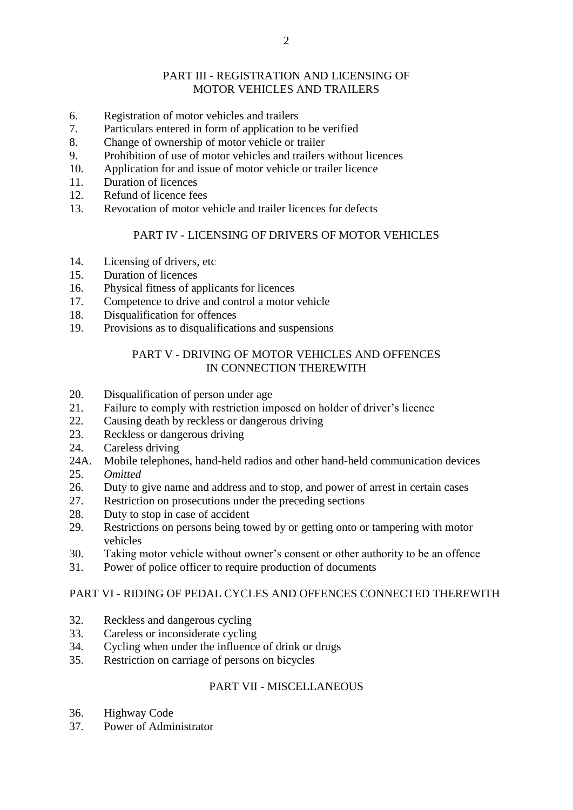# PART III - REGISTRATION AND LICENSING OF MOTOR VEHICLES AND TRAILERS

- 6. Registration of motor vehicles and trailers
- 7. Particulars entered in form of application to be verified
- 8. Change of ownership of motor vehicle or trailer
- 9. Prohibition of use of motor vehicles and trailers without licences
- 10. Application for and issue of motor vehicle or trailer licence
- 11. Duration of licences
- 12. Refund of licence fees
- 13. Revocation of motor vehicle and trailer licences for defects

### PART IV - LICENSING OF DRIVERS OF MOTOR VEHICLES

- 14. Licensing of drivers, etc
- 15. Duration of licences
- 16. Physical fitness of applicants for licences
- 17. Competence to drive and control a motor vehicle
- 18. Disqualification for offences
- 19. Provisions as to disqualifications and suspensions

### PART V - DRIVING OF MOTOR VEHICLES AND OFFENCES IN CONNECTION THEREWITH

- 20. Disqualification of person under age
- 21. Failure to comply with restriction imposed on holder of driver's licence
- 22. Causing death by reckless or dangerous driving
- 23. Reckless or dangerous driving
- 24. Careless driving
- 24A. Mobile telephones, hand-held radios and other hand-held communication devices
- 25. *Omitted*
- 26. Duty to give name and address and to stop, and power of arrest in certain cases
- 27. Restriction on prosecutions under the preceding sections
- 28. Duty to stop in case of accident
- 29. Restrictions on persons being towed by or getting onto or tampering with motor vehicles
- 30. Taking motor vehicle without owner's consent or other authority to be an offence
- 31. Power of police officer to require production of documents

### PART VI - RIDING OF PEDAL CYCLES AND OFFENCES CONNECTED THEREWITH

- 32. Reckless and dangerous cycling
- 33. Careless or inconsiderate cycling
- 34. Cycling when under the influence of drink or drugs
- 35. Restriction on carriage of persons on bicycles

### PART VII - MISCELLANEOUS

- 36. Highway Code
- 37. Power of Administrator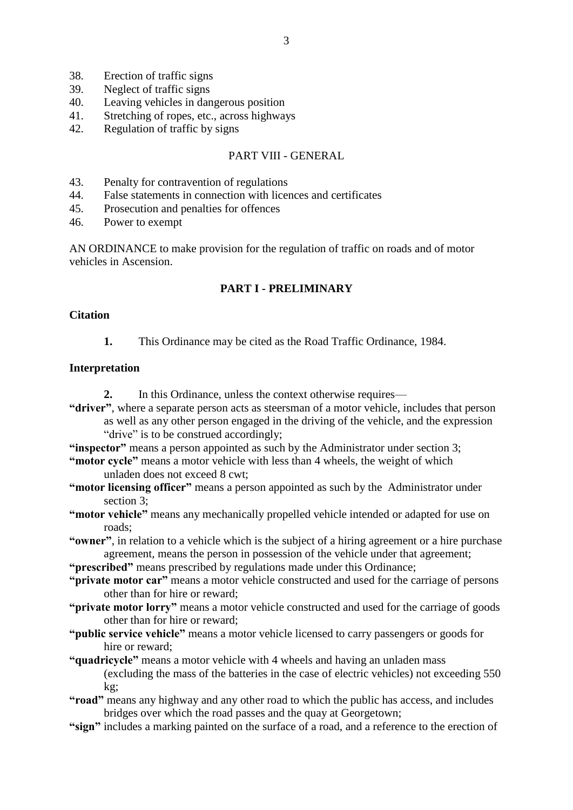- 38. Erection of traffic signs
- 39. Neglect of traffic signs
- 40. Leaving vehicles in dangerous position
- 41. Stretching of ropes, etc., across highways
- 42. Regulation of traffic by signs

### PART VIII - GENERAL

- 43. Penalty for contravention of regulations
- 44. False statements in connection with licences and certificates
- 45. Prosecution and penalties for offences
- 46. Power to exempt

AN ORDINANCE to make provision for the regulation of traffic on roads and of motor vehicles in Ascension.

### **PART I - PRELIMINARY**

### **Citation**

**1.** This Ordinance may be cited as the Road Traffic Ordinance, 1984.

### **Interpretation**

- **2.** In this Ordinance, unless the context otherwise requires—
- **"driver"**, where a separate person acts as steersman of a motor vehicle, includes that person as well as any other person engaged in the driving of the vehicle, and the expression "drive" is to be construed accordingly;

**"inspector"** means a person appointed as such by the Administrator under section 3;

**"motor cycle"** means a motor vehicle with less than 4 wheels, the weight of which unladen does not exceed 8 cwt;

- **"motor licensing officer"** means a person appointed as such by the Administrator under section 3;
- **"motor vehicle"** means any mechanically propelled vehicle intended or adapted for use on roads;

**"owner"**, in relation to a vehicle which is the subject of a hiring agreement or a hire purchase agreement, means the person in possession of the vehicle under that agreement;

- **"prescribed"** means prescribed by regulations made under this Ordinance;
- **"private motor car"** means a motor vehicle constructed and used for the carriage of persons other than for hire or reward;
- **"private motor lorry"** means a motor vehicle constructed and used for the carriage of goods other than for hire or reward;
- **"public service vehicle"** means a motor vehicle licensed to carry passengers or goods for hire or reward;
- **"quadricycle"** means a motor vehicle with 4 wheels and having an unladen mass (excluding the mass of the batteries in the case of electric vehicles) not exceeding 550 kg;
- **"road"** means any highway and any other road to which the public has access, and includes bridges over which the road passes and the quay at Georgetown;
- **"sign"** includes a marking painted on the surface of a road, and a reference to the erection of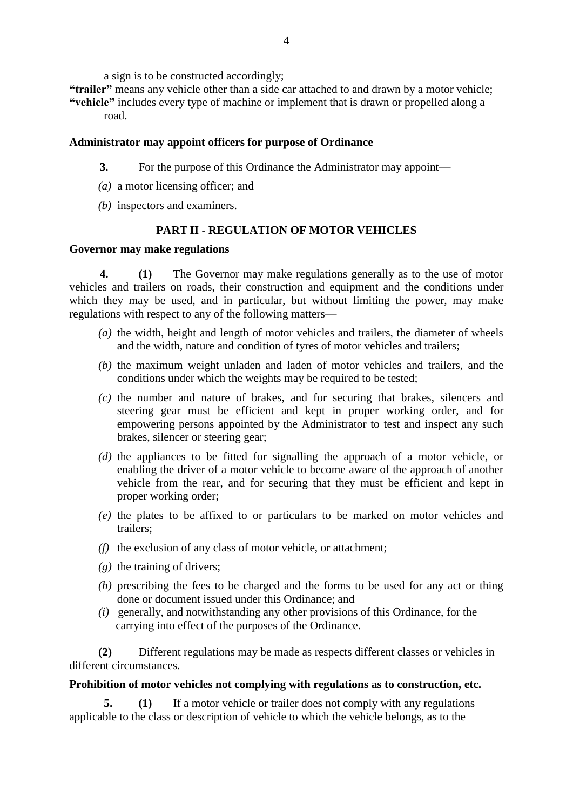a sign is to be constructed accordingly;

**"trailer"** means any vehicle other than a side car attached to and drawn by a motor vehicle; **"vehicle"** includes every type of machine or implement that is drawn or propelled along a

road.

# **Administrator may appoint officers for purpose of Ordinance**

- **3.** For the purpose of this Ordinance the Administrator may appoint—
- *(a)* a motor licensing officer; and
- *(b)* inspectors and examiners.

# **PART II - REGULATION OF MOTOR VEHICLES**

### **Governor may make regulations**

**4. (1)** The Governor may make regulations generally as to the use of motor vehicles and trailers on roads, their construction and equipment and the conditions under which they may be used, and in particular, but without limiting the power, may make regulations with respect to any of the following matters—

- *(a)* the width, height and length of motor vehicles and trailers, the diameter of wheels and the width, nature and condition of tyres of motor vehicles and trailers;
- *(b)* the maximum weight unladen and laden of motor vehicles and trailers, and the conditions under which the weights may be required to be tested;
- *(c)* the number and nature of brakes, and for securing that brakes, silencers and steering gear must be efficient and kept in proper working order, and for empowering persons appointed by the Administrator to test and inspect any such brakes, silencer or steering gear;
- *(d)* the appliances to be fitted for signalling the approach of a motor vehicle, or enabling the driver of a motor vehicle to become aware of the approach of another vehicle from the rear, and for securing that they must be efficient and kept in proper working order;
- *(e)* the plates to be affixed to or particulars to be marked on motor vehicles and trailers;
- *(f)* the exclusion of any class of motor vehicle, or attachment;
- *(g)* the training of drivers;
- *(h)* prescribing the fees to be charged and the forms to be used for any act or thing done or document issued under this Ordinance; and
- *(i)* generally, and notwithstanding any other provisions of this Ordinance, for the carrying into effect of the purposes of the Ordinance.

**(2)** Different regulations may be made as respects different classes or vehicles in different circumstances.

### **Prohibition of motor vehicles not complying with regulations as to construction, etc.**

**5. (1)** If a motor vehicle or trailer does not comply with any regulations applicable to the class or description of vehicle to which the vehicle belongs, as to the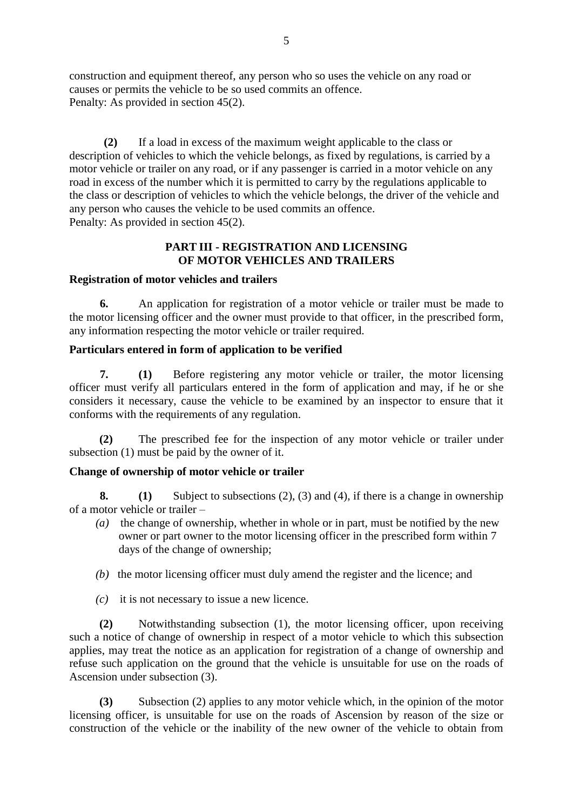construction and equipment thereof, any person who so uses the vehicle on any road or causes or permits the vehicle to be so used commits an offence. Penalty: As provided in section 45(2).

**(2)** If a load in excess of the maximum weight applicable to the class or description of vehicles to which the vehicle belongs, as fixed by regulations, is carried by a motor vehicle or trailer on any road, or if any passenger is carried in a motor vehicle on any road in excess of the number which it is permitted to carry by the regulations applicable to the class or description of vehicles to which the vehicle belongs, the driver of the vehicle and any person who causes the vehicle to be used commits an offence. Penalty: As provided in section 45(2).

### **PART III - REGISTRATION AND LICENSING OF MOTOR VEHICLES AND TRAILERS**

### **Registration of motor vehicles and trailers**

**6.** An application for registration of a motor vehicle or trailer must be made to the motor licensing officer and the owner must provide to that officer, in the prescribed form, any information respecting the motor vehicle or trailer required.

# **Particulars entered in form of application to be verified**

**7. (1)** Before registering any motor vehicle or trailer, the motor licensing officer must verify all particulars entered in the form of application and may, if he or she considers it necessary, cause the vehicle to be examined by an inspector to ensure that it conforms with the requirements of any regulation.

**(2)** The prescribed fee for the inspection of any motor vehicle or trailer under subsection (1) must be paid by the owner of it.

### **Change of ownership of motor vehicle or trailer**

**8. (1)** Subject to subsections (2), (3) and (4), if there is a change in ownership of a motor vehicle or trailer –

- *(a)* the change of ownership, whether in whole or in part, must be notified by the new owner or part owner to the motor licensing officer in the prescribed form within 7 days of the change of ownership;
- *(b)* the motor licensing officer must duly amend the register and the licence; and
- *(c)* it is not necessary to issue a new licence.

**(2)** Notwithstanding subsection (1), the motor licensing officer, upon receiving such a notice of change of ownership in respect of a motor vehicle to which this subsection applies, may treat the notice as an application for registration of a change of ownership and refuse such application on the ground that the vehicle is unsuitable for use on the roads of Ascension under subsection (3).

**(3)** Subsection (2) applies to any motor vehicle which, in the opinion of the motor licensing officer, is unsuitable for use on the roads of Ascension by reason of the size or construction of the vehicle or the inability of the new owner of the vehicle to obtain from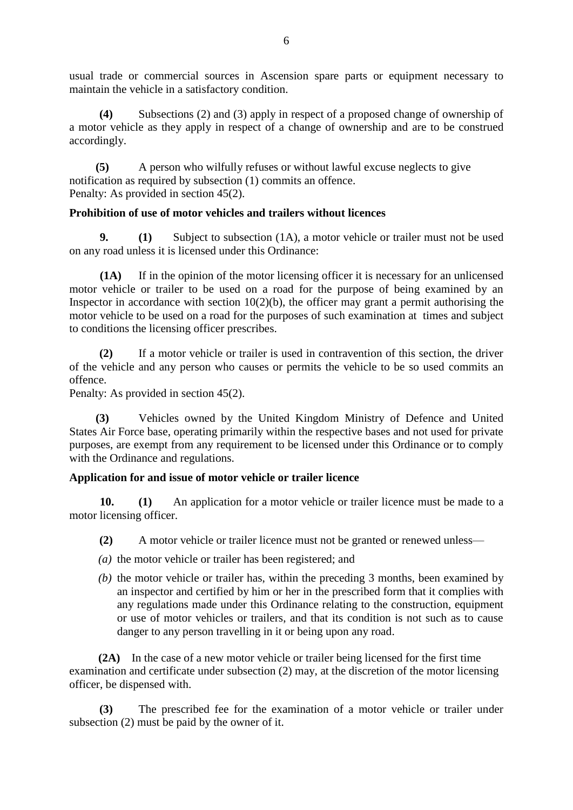usual trade or commercial sources in Ascension spare parts or equipment necessary to maintain the vehicle in a satisfactory condition.

**(4)** Subsections (2) and (3) apply in respect of a proposed change of ownership of a motor vehicle as they apply in respect of a change of ownership and are to be construed accordingly.

**(5)** A person who wilfully refuses or without lawful excuse neglects to give notification as required by subsection (1) commits an offence. Penalty: As provided in section 45(2).

# **Prohibition of use of motor vehicles and trailers without licences**

**9. (1)** Subject to subsection (1A), a motor vehicle or trailer must not be used on any road unless it is licensed under this Ordinance:

**(1A)** If in the opinion of the motor licensing officer it is necessary for an unlicensed motor vehicle or trailer to be used on a road for the purpose of being examined by an Inspector in accordance with section  $10(2)(b)$ , the officer may grant a permit authorising the motor vehicle to be used on a road for the purposes of such examination at times and subject to conditions the licensing officer prescribes.

**(2)** If a motor vehicle or trailer is used in contravention of this section, the driver of the vehicle and any person who causes or permits the vehicle to be so used commits an offence.

Penalty: As provided in section 45(2).

**(3)** Vehicles owned by the United Kingdom Ministry of Defence and United States Air Force base, operating primarily within the respective bases and not used for private purposes, are exempt from any requirement to be licensed under this Ordinance or to comply with the Ordinance and regulations.

### **Application for and issue of motor vehicle or trailer licence**

**10. (1)** An application for a motor vehicle or trailer licence must be made to a motor licensing officer.

- **(2)** A motor vehicle or trailer licence must not be granted or renewed unless—
- *(a)* the motor vehicle or trailer has been registered; and
- *(b)* the motor vehicle or trailer has, within the preceding 3 months, been examined by an inspector and certified by him or her in the prescribed form that it complies with any regulations made under this Ordinance relating to the construction, equipment or use of motor vehicles or trailers, and that its condition is not such as to cause danger to any person travelling in it or being upon any road.

**(2A)** In the case of a new motor vehicle or trailer being licensed for the first time examination and certificate under subsection (2) may, at the discretion of the motor licensing officer, be dispensed with.

**(3)** The prescribed fee for the examination of a motor vehicle or trailer under subsection (2) must be paid by the owner of it.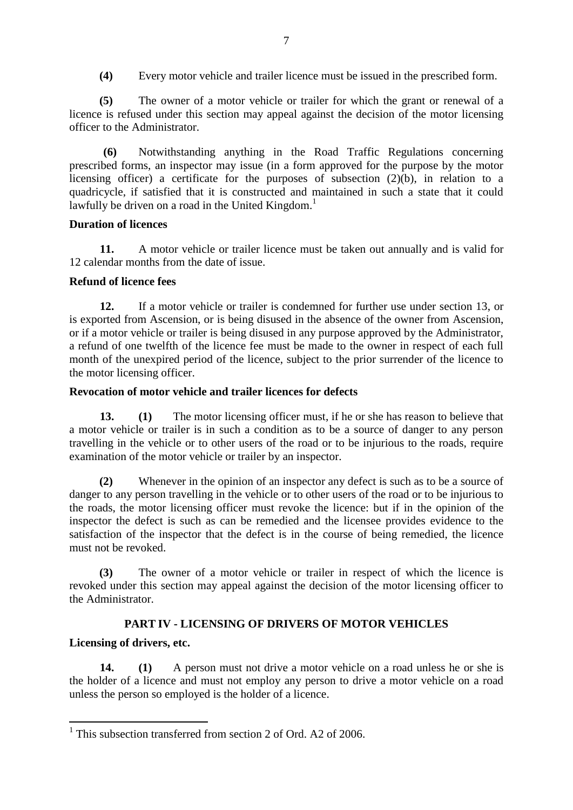**(4)** Every motor vehicle and trailer licence must be issued in the prescribed form.

**(5)** The owner of a motor vehicle or trailer for which the grant or renewal of a licence is refused under this section may appeal against the decision of the motor licensing officer to the Administrator.

**(6)** Notwithstanding anything in the Road Traffic Regulations concerning prescribed forms, an inspector may issue (in a form approved for the purpose by the motor licensing officer) a certificate for the purposes of subsection (2)(b), in relation to a quadricycle, if satisfied that it is constructed and maintained in such a state that it could lawfully be driven on a road in the United Kingdom.<sup>1</sup>

### **Duration of licences**

**11.** A motor vehicle or trailer licence must be taken out annually and is valid for 12 calendar months from the date of issue.

### **Refund of licence fees**

**12.** If a motor vehicle or trailer is condemned for further use under section 13, or is exported from Ascension, or is being disused in the absence of the owner from Ascension, or if a motor vehicle or trailer is being disused in any purpose approved by the Administrator, a refund of one twelfth of the licence fee must be made to the owner in respect of each full month of the unexpired period of the licence, subject to the prior surrender of the licence to the motor licensing officer.

### **Revocation of motor vehicle and trailer licences for defects**

**13. (1)** The motor licensing officer must, if he or she has reason to believe that a motor vehicle or trailer is in such a condition as to be a source of danger to any person travelling in the vehicle or to other users of the road or to be injurious to the roads, require examination of the motor vehicle or trailer by an inspector.

**(2)** Whenever in the opinion of an inspector any defect is such as to be a source of danger to any person travelling in the vehicle or to other users of the road or to be injurious to the roads, the motor licensing officer must revoke the licence: but if in the opinion of the inspector the defect is such as can be remedied and the licensee provides evidence to the satisfaction of the inspector that the defect is in the course of being remedied, the licence must not be revoked.

**(3)** The owner of a motor vehicle or trailer in respect of which the licence is revoked under this section may appeal against the decision of the motor licensing officer to the Administrator.

# **PART IV - LICENSING OF DRIVERS OF MOTOR VEHICLES**

### **Licensing of drivers, etc.**

1

**14. (1)** A person must not drive a motor vehicle on a road unless he or she is the holder of a licence and must not employ any person to drive a motor vehicle on a road unless the person so employed is the holder of a licence.

<sup>&</sup>lt;sup>1</sup> This subsection transferred from section 2 of Ord. A2 of 2006.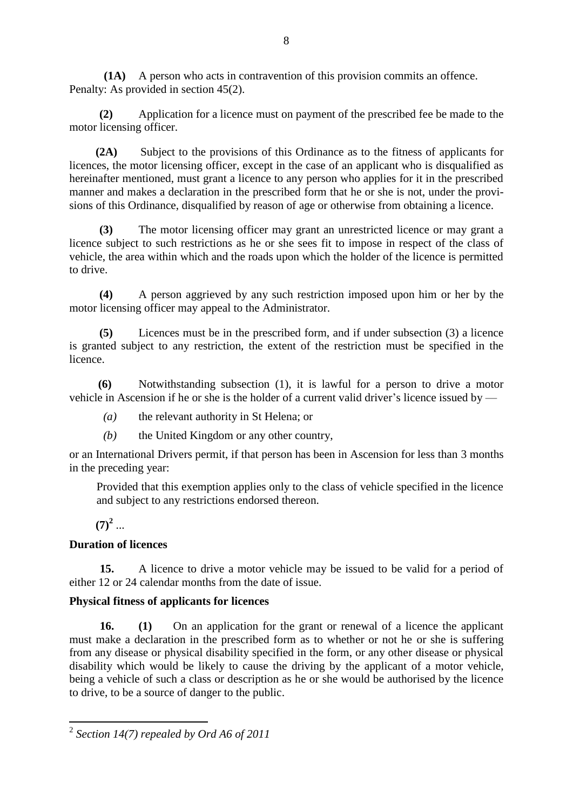**(1A)** A person who acts in contravention of this provision commits an offence. Penalty: As provided in section 45(2).

**(2)** Application for a licence must on payment of the prescribed fee be made to the motor licensing officer.

**(2A)** Subject to the provisions of this Ordinance as to the fitness of applicants for licences, the motor licensing officer, except in the case of an applicant who is disqualified as hereinafter mentioned, must grant a licence to any person who applies for it in the prescribed manner and makes a declaration in the prescribed form that he or she is not, under the provisions of this Ordinance, disqualified by reason of age or otherwise from obtaining a licence.

**(3)** The motor licensing officer may grant an unrestricted licence or may grant a licence subject to such restrictions as he or she sees fit to impose in respect of the class of vehicle, the area within which and the roads upon which the holder of the licence is permitted to drive.

**(4)** A person aggrieved by any such restriction imposed upon him or her by the motor licensing officer may appeal to the Administrator.

**(5)** Licences must be in the prescribed form, and if under subsection (3) a licence is granted subject to any restriction, the extent of the restriction must be specified in the licence.

**(6)** Notwithstanding subsection (1), it is lawful for a person to drive a motor vehicle in Ascension if he or she is the holder of a current valid driver's licence issued by —

- *(a)* the relevant authority in St Helena; or
- *(b)* the United Kingdom or any other country,

or an International Drivers permit, if that person has been in Ascension for less than 3 months in the preceding year:

Provided that this exemption applies only to the class of vehicle specified in the licence and subject to any restrictions endorsed thereon.

 $(7)^2$  ...

1

# **Duration of licences**

**15.** A licence to drive a motor vehicle may be issued to be valid for a period of either 12 or 24 calendar months from the date of issue.

# **Physical fitness of applicants for licences**

**16. (1)** On an application for the grant or renewal of a licence the applicant must make a declaration in the prescribed form as to whether or not he or she is suffering from any disease or physical disability specified in the form, or any other disease or physical disability which would be likely to cause the driving by the applicant of a motor vehicle, being a vehicle of such a class or description as he or she would be authorised by the licence to drive, to be a source of danger to the public.

<sup>2</sup> *Section 14(7) repealed by Ord A6 of 2011*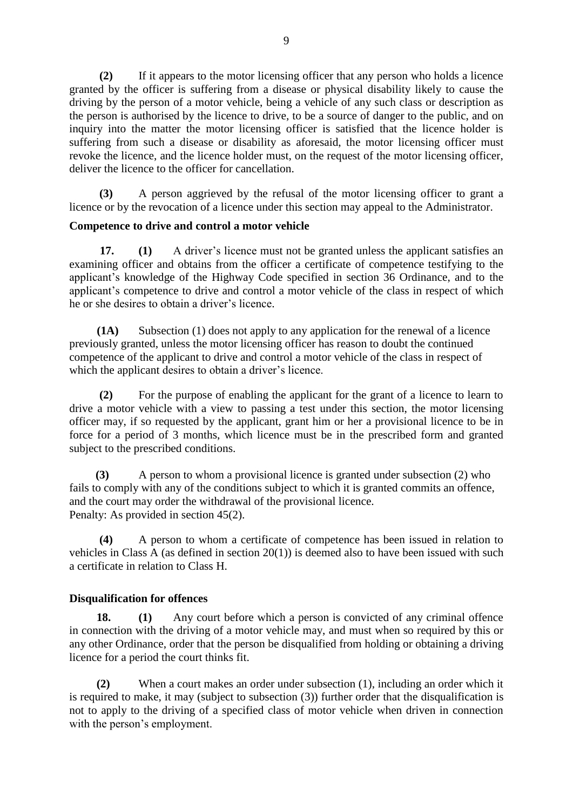**(2)** If it appears to the motor licensing officer that any person who holds a licence granted by the officer is suffering from a disease or physical disability likely to cause the driving by the person of a motor vehicle, being a vehicle of any such class or description as the person is authorised by the licence to drive, to be a source of danger to the public, and on inquiry into the matter the motor licensing officer is satisfied that the licence holder is suffering from such a disease or disability as aforesaid, the motor licensing officer must revoke the licence, and the licence holder must, on the request of the motor licensing officer, deliver the licence to the officer for cancellation.

**(3)** A person aggrieved by the refusal of the motor licensing officer to grant a licence or by the revocation of a licence under this section may appeal to the Administrator.

# **Competence to drive and control a motor vehicle**

**17. (1)** A driver's licence must not be granted unless the applicant satisfies an examining officer and obtains from the officer a certificate of competence testifying to the applicant's knowledge of the Highway Code specified in section 36 Ordinance, and to the applicant's competence to drive and control a motor vehicle of the class in respect of which he or she desires to obtain a driver's licence.

 **(1A)** Subsection (1) does not apply to any application for the renewal of a licence previously granted, unless the motor licensing officer has reason to doubt the continued competence of the applicant to drive and control a motor vehicle of the class in respect of which the applicant desires to obtain a driver's licence.

**(2)** For the purpose of enabling the applicant for the grant of a licence to learn to drive a motor vehicle with a view to passing a test under this section, the motor licensing officer may, if so requested by the applicant, grant him or her a provisional licence to be in force for a period of 3 months, which licence must be in the prescribed form and granted subject to the prescribed conditions.

**(3)** A person to whom a provisional licence is granted under subsection (2) who fails to comply with any of the conditions subject to which it is granted commits an offence, and the court may order the withdrawal of the provisional licence. Penalty: As provided in section 45(2).

**(4)** A person to whom a certificate of competence has been issued in relation to vehicles in Class A (as defined in section 20(1)) is deemed also to have been issued with such a certificate in relation to Class H.

# **Disqualification for offences**

**18. (1)** Any court before which a person is convicted of any criminal offence in connection with the driving of a motor vehicle may, and must when so required by this or any other Ordinance, order that the person be disqualified from holding or obtaining a driving licence for a period the court thinks fit.

**(2)** When a court makes an order under subsection (1), including an order which it is required to make, it may (subject to subsection (3)) further order that the disqualification is not to apply to the driving of a specified class of motor vehicle when driven in connection with the person's employment.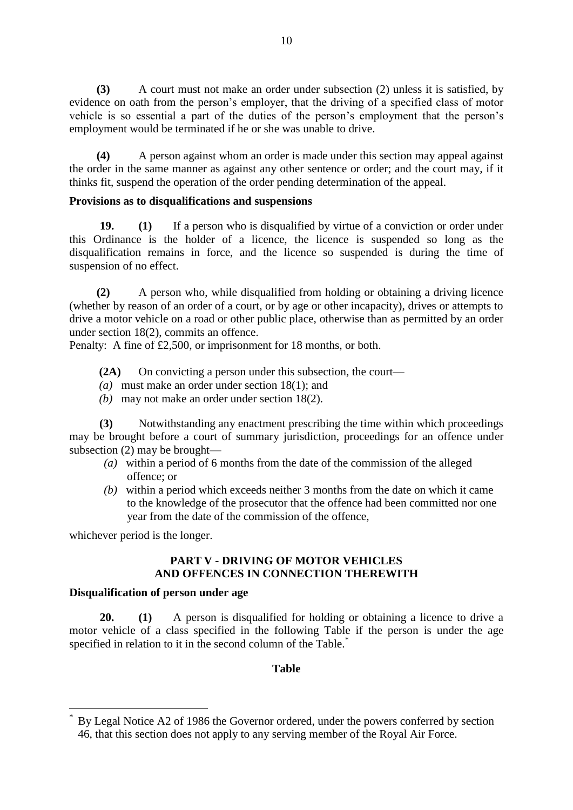**(3)** A court must not make an order under subsection (2) unless it is satisfied, by evidence on oath from the person's employer, that the driving of a specified class of motor vehicle is so essential a part of the duties of the person's employment that the person's employment would be terminated if he or she was unable to drive.

**(4)** A person against whom an order is made under this section may appeal against the order in the same manner as against any other sentence or order; and the court may, if it thinks fit, suspend the operation of the order pending determination of the appeal.

### **Provisions as to disqualifications and suspensions**

**19. (1)** If a person who is disqualified by virtue of a conviction or order under this Ordinance is the holder of a licence, the licence is suspended so long as the disqualification remains in force, and the licence so suspended is during the time of suspension of no effect.

**(2)** A person who, while disqualified from holding or obtaining a driving licence (whether by reason of an order of a court, or by age or other incapacity), drives or attempts to drive a motor vehicle on a road or other public place, otherwise than as permitted by an order under section 18(2), commits an offence.

Penalty: A fine of £2,500, or imprisonment for 18 months, or both.

**(2A)** On convicting a person under this subsection, the court—

- *(a)* must make an order under section 18(1); and
- *(b)* may not make an order under section 18(2).

**(3)** Notwithstanding any enactment prescribing the time within which proceedings may be brought before a court of summary jurisdiction, proceedings for an offence under subsection (2) may be brought—

- *(a)* within a period of 6 months from the date of the commission of the alleged offence; or
- *(b)* within a period which exceeds neither 3 months from the date on which it came to the knowledge of the prosecutor that the offence had been committed nor one year from the date of the commission of the offence,

whichever period is the longer.

1

# **PART V - DRIVING OF MOTOR VEHICLES AND OFFENCES IN CONNECTION THEREWITH**

# **Disqualification of person under age**

**20. (1)** A person is disqualified for holding or obtaining a licence to drive a motor vehicle of a class specified in the following Table if the person is under the age specified in relation to it in the second column of the Table.<sup>\*</sup>

### **Table**

By Legal Notice A2 of 1986 the Governor ordered, under the powers conferred by section 46, that this section does not apply to any serving member of the Royal Air Force.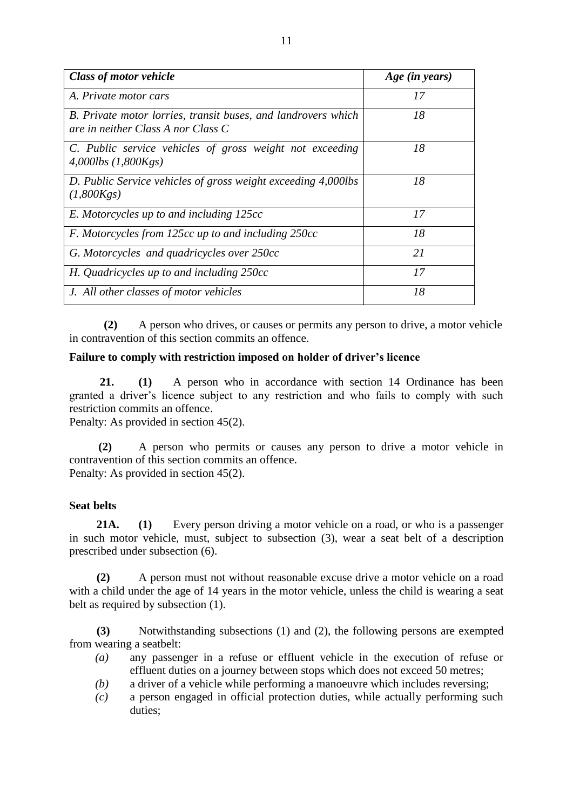| <b>Class of motor vehicle</b>                                                                       | Age (in years) |
|-----------------------------------------------------------------------------------------------------|----------------|
| A. Private motor cars                                                                               | 17             |
| B. Private motor lorries, transit buses, and landrovers which<br>are in neither Class A nor Class C | 18             |
| C. Public service vehicles of gross weight not exceeding<br>$4,000$ lbs (1,800Kgs)                  | 18             |
| D. Public Service vehicles of gross weight exceeding 4,000lbs<br>(1,800Kgs)                         | 18             |
| E. Motorcycles up to and including 125cc                                                            | 17             |
| F. Motorcycles from 125cc up to and including 250cc                                                 | 18             |
| G. Motorcycles and quadricycles over 250cc                                                          | 21             |
| H. Quadricycles up to and including 250cc                                                           | 17             |
| J. All other classes of motor vehicles                                                              | 18             |

**(2)** A person who drives, or causes or permits any person to drive, a motor vehicle in contravention of this section commits an offence.

### **Failure to comply with restriction imposed on holder of driver's licence**

**21. (1)** A person who in accordance with section 14 Ordinance has been granted a driver's licence subject to any restriction and who fails to comply with such restriction commits an offence.

Penalty: As provided in section 45(2).

**(2)** A person who permits or causes any person to drive a motor vehicle in contravention of this section commits an offence. Penalty: As provided in section 45(2).

### **Seat belts**

**21A. (1)** Every person driving a motor vehicle on a road, or who is a passenger in such motor vehicle, must, subject to subsection (3), wear a seat belt of a description prescribed under subsection (6).

**(2)** A person must not without reasonable excuse drive a motor vehicle on a road with a child under the age of 14 years in the motor vehicle, unless the child is wearing a seat belt as required by subsection (1).

**(3)** Notwithstanding subsections (1) and (2), the following persons are exempted from wearing a seatbelt:

- *(a)* any passenger in a refuse or effluent vehicle in the execution of refuse or effluent duties on a journey between stops which does not exceed 50 metres;
- *(b)* a driver of a vehicle while performing a manoeuvre which includes reversing;
- *(c)* a person engaged in official protection duties, while actually performing such duties;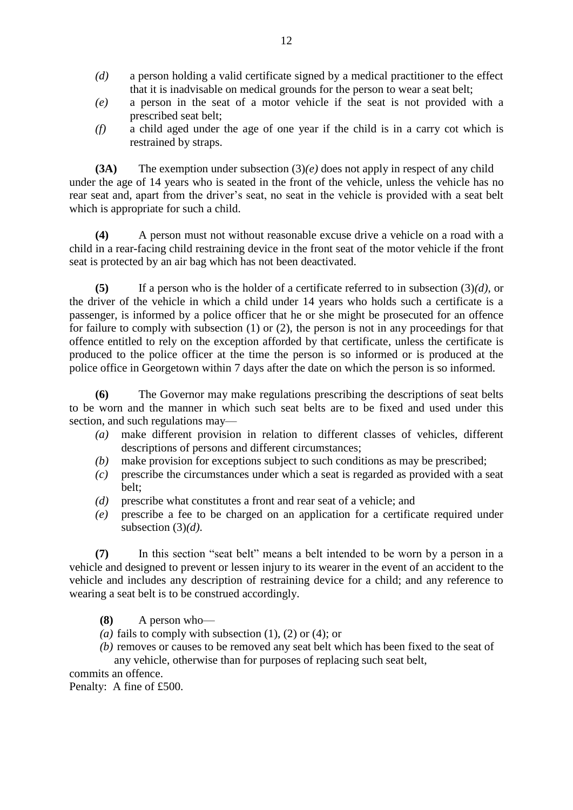- *(d)* a person holding a valid certificate signed by a medical practitioner to the effect that it is inadvisable on medical grounds for the person to wear a seat belt;
- *(e)* a person in the seat of a motor vehicle if the seat is not provided with a prescribed seat belt;
- *(f)* a child aged under the age of one year if the child is in a carry cot which is restrained by straps.

**(3A)** The exemption under subsection (3)*(e)* does not apply in respect of any child under the age of 14 years who is seated in the front of the vehicle, unless the vehicle has no rear seat and, apart from the driver's seat, no seat in the vehicle is provided with a seat belt which is appropriate for such a child.

**(4)** A person must not without reasonable excuse drive a vehicle on a road with a child in a rear-facing child restraining device in the front seat of the motor vehicle if the front seat is protected by an air bag which has not been deactivated.

**(5)** If a person who is the holder of a certificate referred to in subsection (3)*(d)*, or the driver of the vehicle in which a child under 14 years who holds such a certificate is a passenger, is informed by a police officer that he or she might be prosecuted for an offence for failure to comply with subsection (1) or (2), the person is not in any proceedings for that offence entitled to rely on the exception afforded by that certificate, unless the certificate is produced to the police officer at the time the person is so informed or is produced at the police office in Georgetown within 7 days after the date on which the person is so informed.

**(6)** The Governor may make regulations prescribing the descriptions of seat belts to be worn and the manner in which such seat belts are to be fixed and used under this section, and such regulations may—

- *(a)* make different provision in relation to different classes of vehicles, different descriptions of persons and different circumstances;
- *(b)* make provision for exceptions subject to such conditions as may be prescribed;
- *(c)* prescribe the circumstances under which a seat is regarded as provided with a seat belt;
- *(d)* prescribe what constitutes a front and rear seat of a vehicle; and
- *(e)* prescribe a fee to be charged on an application for a certificate required under subsection (3)*(d)*.

**(7)** In this section "seat belt" means a belt intended to be worn by a person in a vehicle and designed to prevent or lessen injury to its wearer in the event of an accident to the vehicle and includes any description of restraining device for a child; and any reference to wearing a seat belt is to be construed accordingly.

- **(8)** A person who—
- (a) fails to comply with subsection  $(1)$ ,  $(2)$  or  $(4)$ ; or
- *(b)* removes or causes to be removed any seat belt which has been fixed to the seat of any vehicle, otherwise than for purposes of replacing such seat belt,

commits an offence.

Penalty: A fine of £500.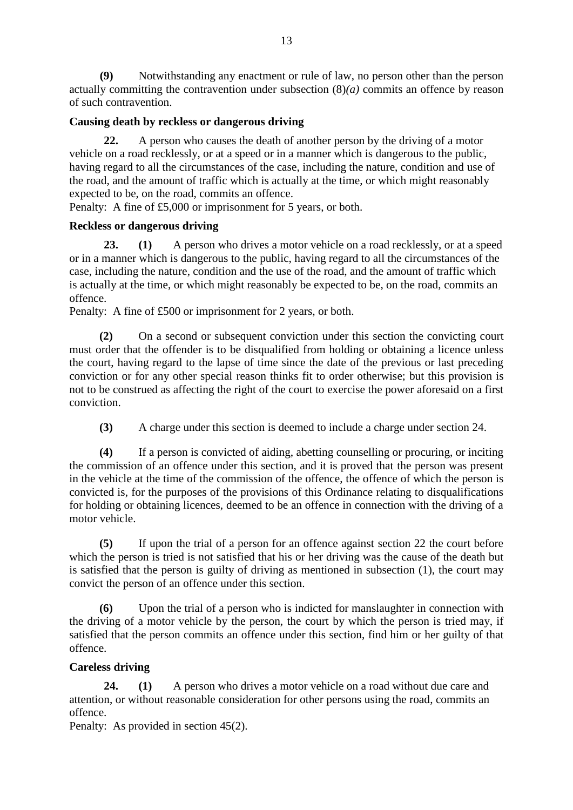**(9)** Notwithstanding any enactment or rule of law, no person other than the person actually committing the contravention under subsection (8)*(a)* commits an offence by reason of such contravention.

# **Causing death by reckless or dangerous driving**

**22.** A person who causes the death of another person by the driving of a motor vehicle on a road recklessly, or at a speed or in a manner which is dangerous to the public, having regard to all the circumstances of the case, including the nature, condition and use of the road, and the amount of traffic which is actually at the time, or which might reasonably expected to be, on the road, commits an offence.

Penalty: A fine of £5,000 or imprisonment for 5 years, or both.

# **Reckless or dangerous driving**

**23. (1)** A person who drives a motor vehicle on a road recklessly, or at a speed or in a manner which is dangerous to the public, having regard to all the circumstances of the case, including the nature, condition and the use of the road, and the amount of traffic which is actually at the time, or which might reasonably be expected to be, on the road, commits an offence.

Penalty: A fine of £500 or imprisonment for 2 years, or both.

**(2)** On a second or subsequent conviction under this section the convicting court must order that the offender is to be disqualified from holding or obtaining a licence unless the court, having regard to the lapse of time since the date of the previous or last preceding conviction or for any other special reason thinks fit to order otherwise; but this provision is not to be construed as affecting the right of the court to exercise the power aforesaid on a first conviction.

**(3)** A charge under this section is deemed to include a charge under section 24.

**(4)** If a person is convicted of aiding, abetting counselling or procuring, or inciting the commission of an offence under this section, and it is proved that the person was present in the vehicle at the time of the commission of the offence, the offence of which the person is convicted is, for the purposes of the provisions of this Ordinance relating to disqualifications for holding or obtaining licences, deemed to be an offence in connection with the driving of a motor vehicle.

**(5)** If upon the trial of a person for an offence against section 22 the court before which the person is tried is not satisfied that his or her driving was the cause of the death but is satisfied that the person is guilty of driving as mentioned in subsection (1), the court may convict the person of an offence under this section.

**(6)** Upon the trial of a person who is indicted for manslaughter in connection with the driving of a motor vehicle by the person, the court by which the person is tried may, if satisfied that the person commits an offence under this section, find him or her guilty of that offence.

# **Careless driving**

**24. (1)** A person who drives a motor vehicle on a road without due care and attention, or without reasonable consideration for other persons using the road, commits an offence.

Penalty: As provided in section 45(2).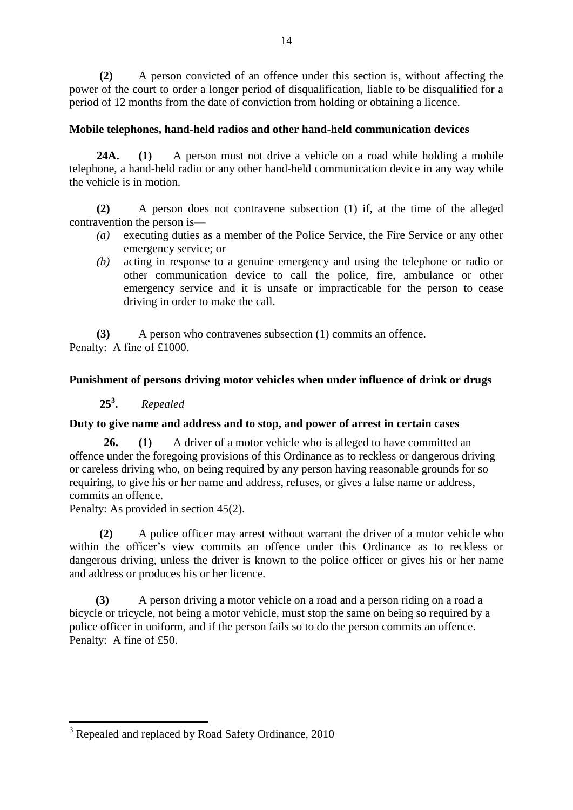**(2)** A person convicted of an offence under this section is, without affecting the power of the court to order a longer period of disqualification, liable to be disqualified for a period of 12 months from the date of conviction from holding or obtaining a licence.

# **Mobile telephones, hand-held radios and other hand-held communication devices**

**24A. (1)** A person must not drive a vehicle on a road while holding a mobile telephone, a hand-held radio or any other hand-held communication device in any way while the vehicle is in motion.

**(2)** A person does not contravene subsection (1) if, at the time of the alleged contravention the person is—

- *(a)* executing duties as a member of the Police Service, the Fire Service or any other emergency service; or
- *(b)* acting in response to a genuine emergency and using the telephone or radio or other communication device to call the police, fire, ambulance or other emergency service and it is unsafe or impracticable for the person to cease driving in order to make the call.

**(3)** A person who contravenes subsection (1) commits an offence. Penalty: A fine of £1000.

# **Punishment of persons driving motor vehicles when under influence of drink or drugs**

**25<sup>3</sup> .** *Repealed*

# **Duty to give name and address and to stop, and power of arrest in certain cases**

**26. (1)** A driver of a motor vehicle who is alleged to have committed an offence under the foregoing provisions of this Ordinance as to reckless or dangerous driving or careless driving who, on being required by any person having reasonable grounds for so requiring, to give his or her name and address, refuses, or gives a false name or address, commits an offence.

Penalty: As provided in section 45(2).

1

**(2)** A police officer may arrest without warrant the driver of a motor vehicle who within the officer's view commits an offence under this Ordinance as to reckless or dangerous driving, unless the driver is known to the police officer or gives his or her name and address or produces his or her licence.

**(3)** A person driving a motor vehicle on a road and a person riding on a road a bicycle or tricycle, not being a motor vehicle, must stop the same on being so required by a police officer in uniform, and if the person fails so to do the person commits an offence. Penalty: A fine of £50.

<sup>&</sup>lt;sup>3</sup> Repealed and replaced by Road Safety Ordinance, 2010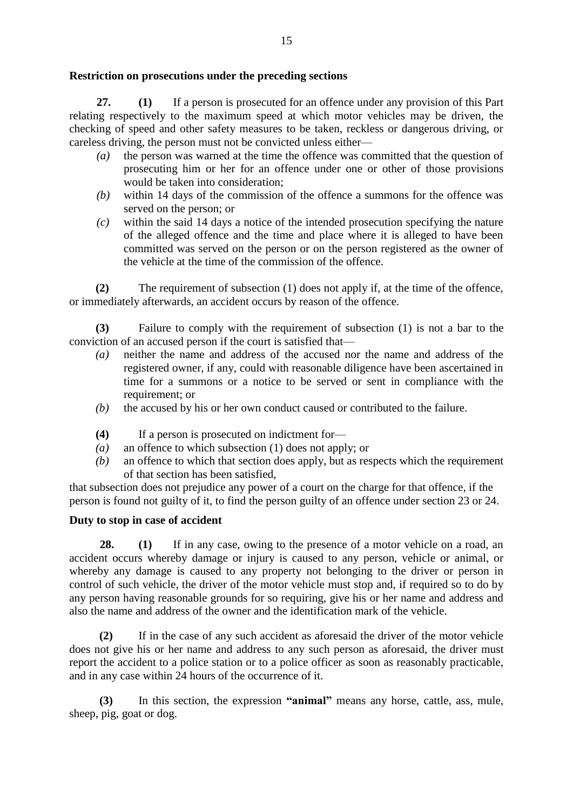### **Restriction on prosecutions under the preceding sections**

**27. (1)** If a person is prosecuted for an offence under any provision of this Part relating respectively to the maximum speed at which motor vehicles may be driven, the checking of speed and other safety measures to be taken, reckless or dangerous driving, or careless driving, the person must not be convicted unless either—

- *(a)* the person was warned at the time the offence was committed that the question of prosecuting him or her for an offence under one or other of those provisions would be taken into consideration;
- *(b)* within 14 days of the commission of the offence a summons for the offence was served on the person; or
- *(c)* within the said 14 days a notice of the intended prosecution specifying the nature of the alleged offence and the time and place where it is alleged to have been committed was served on the person or on the person registered as the owner of the vehicle at the time of the commission of the offence.

**(2)** The requirement of subsection (1) does not apply if, at the time of the offence, or immediately afterwards, an accident occurs by reason of the offence.

**(3)** Failure to comply with the requirement of subsection (1) is not a bar to the conviction of an accused person if the court is satisfied that—

- *(a)* neither the name and address of the accused nor the name and address of the registered owner, if any, could with reasonable diligence have been ascertained in time for a summons or a notice to be served or sent in compliance with the requirement; or
- *(b)* the accused by his or her own conduct caused or contributed to the failure.
- **(4)** If a person is prosecuted on indictment for—
- *(a)* an offence to which subsection (1) does not apply; or
- *(b)* an offence to which that section does apply, but as respects which the requirement of that section has been satisfied,

that subsection does not prejudice any power of a court on the charge for that offence, if the person is found not guilty of it, to find the person guilty of an offence under section 23 or 24.

# **Duty to stop in case of accident**

**28. (1)** If in any case, owing to the presence of a motor vehicle on a road, an accident occurs whereby damage or injury is caused to any person, vehicle or animal, or whereby any damage is caused to any property not belonging to the driver or person in control of such vehicle, the driver of the motor vehicle must stop and, if required so to do by any person having reasonable grounds for so requiring, give his or her name and address and also the name and address of the owner and the identification mark of the vehicle.

**(2)** If in the case of any such accident as aforesaid the driver of the motor vehicle does not give his or her name and address to any such person as aforesaid, the driver must report the accident to a police station or to a police officer as soon as reasonably practicable, and in any case within 24 hours of the occurrence of it.

**(3)** In this section, the expression **"animal"** means any horse, cattle, ass, mule, sheep, pig, goat or dog.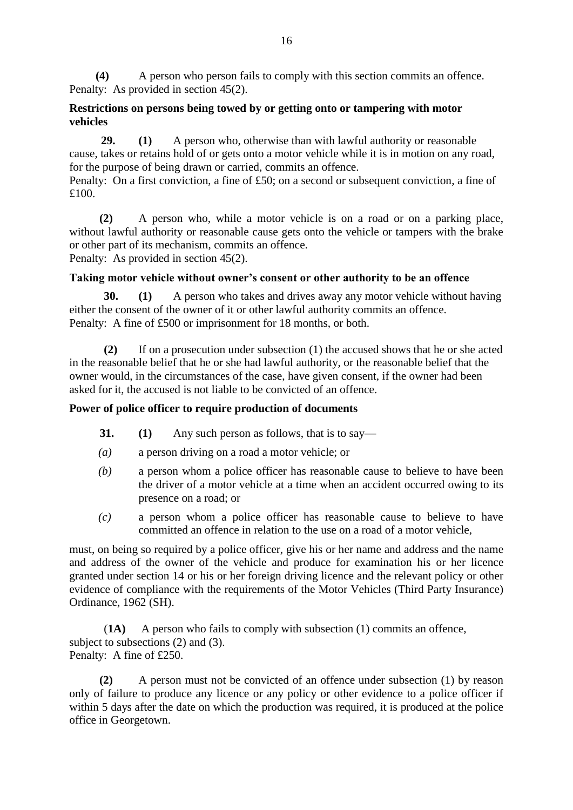**(4)** A person who person fails to comply with this section commits an offence. Penalty: As provided in section 45(2).

### **Restrictions on persons being towed by or getting onto or tampering with motor vehicles**

 **29. (1)** A person who, otherwise than with lawful authority or reasonable cause, takes or retains hold of or gets onto a motor vehicle while it is in motion on any road, for the purpose of being drawn or carried, commits an offence.

Penalty: On a first conviction, a fine of £50; on a second or subsequent conviction, a fine of £100.

**(2)** A person who, while a motor vehicle is on a road or on a parking place, without lawful authority or reasonable cause gets onto the vehicle or tampers with the brake or other part of its mechanism, commits an offence.

Penalty: As provided in section 45(2).

# **Taking motor vehicle without owner's consent or other authority to be an offence**

**30. (1)** A person who takes and drives away any motor vehicle without having either the consent of the owner of it or other lawful authority commits an offence. Penalty: A fine of £500 or imprisonment for 18 months, or both.

**(2)** If on a prosecution under subsection (1) the accused shows that he or she acted in the reasonable belief that he or she had lawful authority, or the reasonable belief that the owner would, in the circumstances of the case, have given consent, if the owner had been asked for it, the accused is not liable to be convicted of an offence.

### **Power of police officer to require production of documents**

- **31. (1)** Any such person as follows, that is to say—
- *(a)* a person driving on a road a motor vehicle; or
- *(b)* a person whom a police officer has reasonable cause to believe to have been the driver of a motor vehicle at a time when an accident occurred owing to its presence on a road; or
- *(c)* a person whom a police officer has reasonable cause to believe to have committed an offence in relation to the use on a road of a motor vehicle,

must, on being so required by a police officer, give his or her name and address and the name and address of the owner of the vehicle and produce for examination his or her licence granted under section 14 or his or her foreign driving licence and the relevant policy or other evidence of compliance with the requirements of the Motor Vehicles (Third Party Insurance) Ordinance, 1962 (SH).

(**1A)** A person who fails to comply with subsection (1) commits an offence, subject to subsections (2) and (3). Penalty: A fine of £250.

**(2)** A person must not be convicted of an offence under subsection (1) by reason only of failure to produce any licence or any policy or other evidence to a police officer if within 5 days after the date on which the production was required, it is produced at the police office in Georgetown.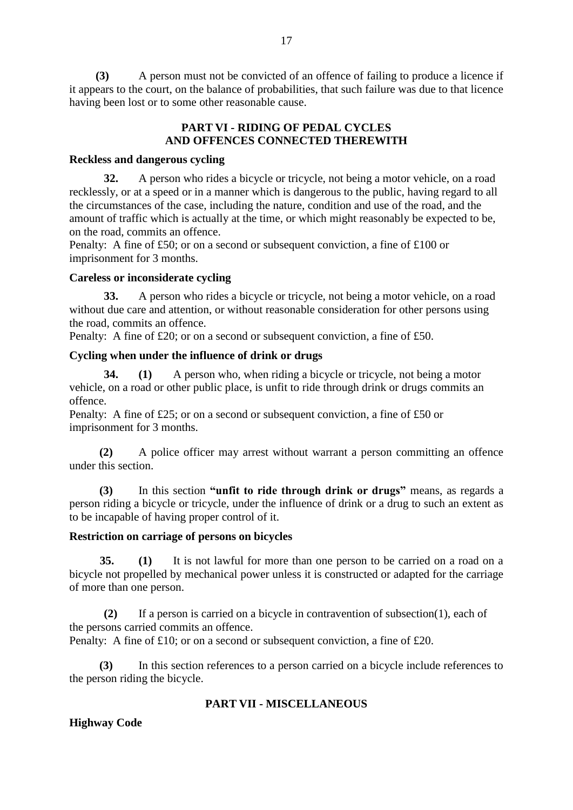**(3)** A person must not be convicted of an offence of failing to produce a licence if it appears to the court, on the balance of probabilities, that such failure was due to that licence having been lost or to some other reasonable cause.

# **PART VI - RIDING OF PEDAL CYCLES AND OFFENCES CONNECTED THEREWITH**

# **Reckless and dangerous cycling**

**32.** A person who rides a bicycle or tricycle, not being a motor vehicle, on a road recklessly, or at a speed or in a manner which is dangerous to the public, having regard to all the circumstances of the case, including the nature, condition and use of the road, and the amount of traffic which is actually at the time, or which might reasonably be expected to be, on the road, commits an offence.

Penalty: A fine of £50; or on a second or subsequent conviction, a fine of £100 or imprisonment for 3 months.

# **Careless or inconsiderate cycling**

**33.** A person who rides a bicycle or tricycle, not being a motor vehicle, on a road without due care and attention, or without reasonable consideration for other persons using the road, commits an offence.

Penalty: A fine of £20; or on a second or subsequent conviction, a fine of £50.

# **Cycling when under the influence of drink or drugs**

**34. (1)** A person who, when riding a bicycle or tricycle, not being a motor vehicle, on a road or other public place, is unfit to ride through drink or drugs commits an offence.

Penalty: A fine of £25; or on a second or subsequent conviction, a fine of £50 or imprisonment for 3 months.

**(2)** A police officer may arrest without warrant a person committing an offence under this section.

**(3)** In this section **"unfit to ride through drink or drugs"** means, as regards a person riding a bicycle or tricycle, under the influence of drink or a drug to such an extent as to be incapable of having proper control of it.

### **Restriction on carriage of persons on bicycles**

**35. (1)** It is not lawful for more than one person to be carried on a road on a bicycle not propelled by mechanical power unless it is constructed or adapted for the carriage of more than one person.

**(2)** If a person is carried on a bicycle in contravention of subsection(1), each of the persons carried commits an offence. Penalty: A fine of £10; or on a second or subsequent conviction, a fine of £20.

**(3)** In this section references to a person carried on a bicycle include references to the person riding the bicycle.

# **PART VII - MISCELLANEOUS**

**Highway Code**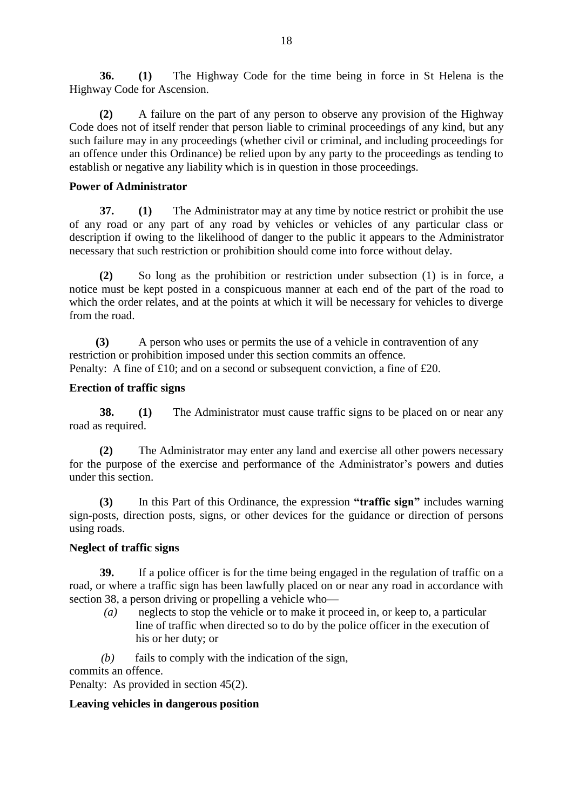**36. (1)** The Highway Code for the time being in force in St Helena is the Highway Code for Ascension.

**(2)** A failure on the part of any person to observe any provision of the Highway Code does not of itself render that person liable to criminal proceedings of any kind, but any such failure may in any proceedings (whether civil or criminal, and including proceedings for an offence under this Ordinance) be relied upon by any party to the proceedings as tending to establish or negative any liability which is in question in those proceedings.

# **Power of Administrator**

**37. (1)** The Administrator may at any time by notice restrict or prohibit the use of any road or any part of any road by vehicles or vehicles of any particular class or description if owing to the likelihood of danger to the public it appears to the Administrator necessary that such restriction or prohibition should come into force without delay.

**(2)** So long as the prohibition or restriction under subsection (1) is in force, a notice must be kept posted in a conspicuous manner at each end of the part of the road to which the order relates, and at the points at which it will be necessary for vehicles to diverge from the road.

**(3)** A person who uses or permits the use of a vehicle in contravention of any restriction or prohibition imposed under this section commits an offence. Penalty: A fine of £10; and on a second or subsequent conviction, a fine of £20.

### **Erection of traffic signs**

**38. (1)** The Administrator must cause traffic signs to be placed on or near any road as required.

**(2)** The Administrator may enter any land and exercise all other powers necessary for the purpose of the exercise and performance of the Administrator's powers and duties under this section.

**(3)** In this Part of this Ordinance, the expression **"traffic sign"** includes warning sign-posts, direction posts, signs, or other devices for the guidance or direction of persons using roads.

### **Neglect of traffic signs**

**39.** If a police officer is for the time being engaged in the regulation of traffic on a road, or where a traffic sign has been lawfully placed on or near any road in accordance with section 38, a person driving or propelling a vehicle who—

*(a)* neglects to stop the vehicle or to make it proceed in, or keep to, a particular line of traffic when directed so to do by the police officer in the execution of his or her duty; or

 *(b)* fails to comply with the indication of the sign,

commits an offence.

Penalty: As provided in section 45(2).

# **Leaving vehicles in dangerous position**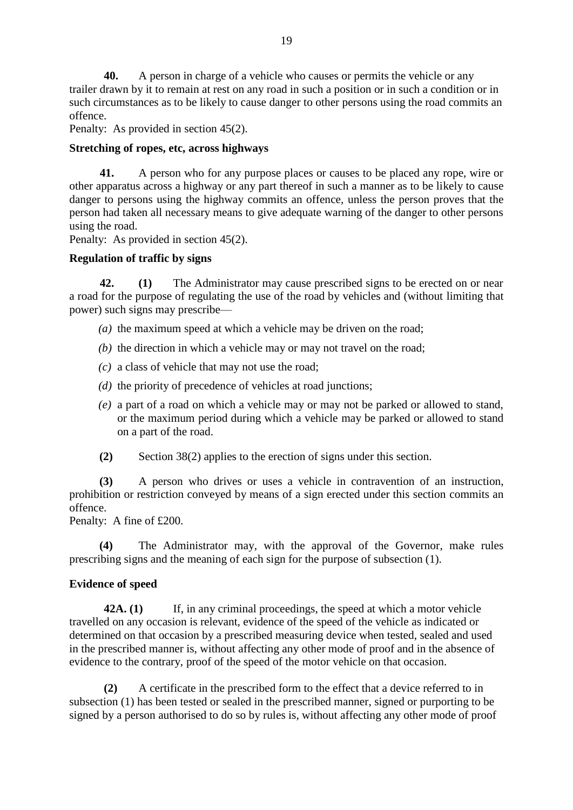**40.** A person in charge of a vehicle who causes or permits the vehicle or any trailer drawn by it to remain at rest on any road in such a position or in such a condition or in such circumstances as to be likely to cause danger to other persons using the road commits an offence.

Penalty: As provided in section 45(2).

# **Stretching of ropes, etc, across highways**

**41.** A person who for any purpose places or causes to be placed any rope, wire or other apparatus across a highway or any part thereof in such a manner as to be likely to cause danger to persons using the highway commits an offence, unless the person proves that the person had taken all necessary means to give adequate warning of the danger to other persons using the road.

Penalty: As provided in section 45(2).

# **Regulation of traffic by signs**

**42. (1)** The Administrator may cause prescribed signs to be erected on or near a road for the purpose of regulating the use of the road by vehicles and (without limiting that power) such signs may prescribe—

- *(a)* the maximum speed at which a vehicle may be driven on the road;
- *(b)* the direction in which a vehicle may or may not travel on the road;
- *(c)* a class of vehicle that may not use the road;
- *(d)* the priority of precedence of vehicles at road junctions;
- *(e)* a part of a road on which a vehicle may or may not be parked or allowed to stand, or the maximum period during which a vehicle may be parked or allowed to stand on a part of the road.
- **(2)** Section 38(2) applies to the erection of signs under this section.

**(3)** A person who drives or uses a vehicle in contravention of an instruction, prohibition or restriction conveyed by means of a sign erected under this section commits an offence.

Penalty: A fine of £200.

**(4)** The Administrator may, with the approval of the Governor, make rules prescribing signs and the meaning of each sign for the purpose of subsection (1).

### **Evidence of speed**

**42A. (1)** If, in any criminal proceedings, the speed at which a motor vehicle travelled on any occasion is relevant, evidence of the speed of the vehicle as indicated or determined on that occasion by a prescribed measuring device when tested, sealed and used in the prescribed manner is, without affecting any other mode of proof and in the absence of evidence to the contrary, proof of the speed of the motor vehicle on that occasion.

**(2)** A certificate in the prescribed form to the effect that a device referred to in subsection (1) has been tested or sealed in the prescribed manner, signed or purporting to be signed by a person authorised to do so by rules is, without affecting any other mode of proof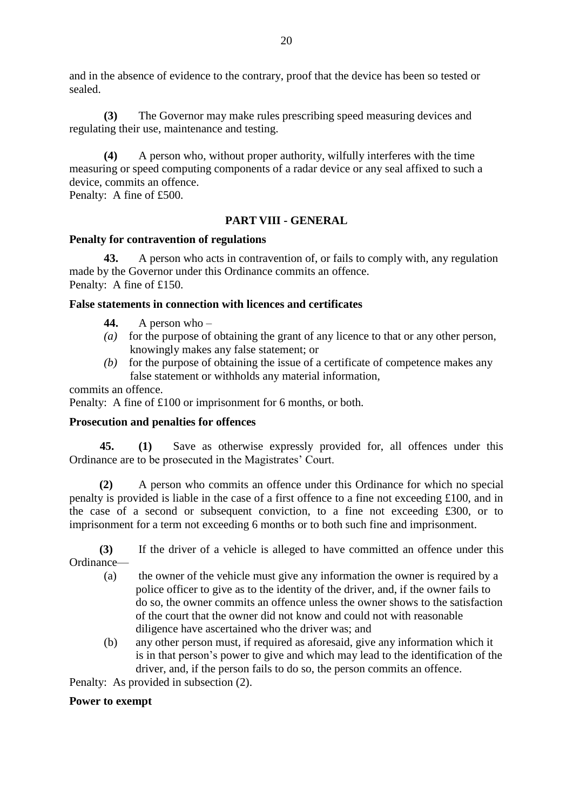and in the absence of evidence to the contrary, proof that the device has been so tested or sealed.

**(3)** The Governor may make rules prescribing speed measuring devices and regulating their use, maintenance and testing.

**(4)** A person who, without proper authority, wilfully interferes with the time measuring or speed computing components of a radar device or any seal affixed to such a device, commits an offence.

Penalty: A fine of £500.

# **PART VIII - GENERAL**

# **Penalty for contravention of regulations**

**43.** A person who acts in contravention of, or fails to comply with, any regulation made by the Governor under this Ordinance commits an offence. Penalty: A fine of £150.

# **False statements in connection with licences and certificates**

- **44.** A person who –
- *(a)* for the purpose of obtaining the grant of any licence to that or any other person, knowingly makes any false statement; or
- *(b)* for the purpose of obtaining the issue of a certificate of competence makes any false statement or withholds any material information,

commits an offence.

Penalty: A fine of £100 or imprisonment for 6 months, or both.

# **Prosecution and penalties for offences**

**45. (1)** Save as otherwise expressly provided for, all offences under this Ordinance are to be prosecuted in the Magistrates' Court.

**(2)** A person who commits an offence under this Ordinance for which no special penalty is provided is liable in the case of a first offence to a fine not exceeding £100, and in the case of a second or subsequent conviction, to a fine not exceeding £300, or to imprisonment for a term not exceeding 6 months or to both such fine and imprisonment.

**(3)** If the driver of a vehicle is alleged to have committed an offence under this Ordinance—

- (a) the owner of the vehicle must give any information the owner is required by a police officer to give as to the identity of the driver, and, if the owner fails to do so, the owner commits an offence unless the owner shows to the satisfaction of the court that the owner did not know and could not with reasonable diligence have ascertained who the driver was; and
- (b) any other person must, if required as aforesaid, give any information which it is in that person's power to give and which may lead to the identification of the driver, and, if the person fails to do so, the person commits an offence.

Penalty: As provided in subsection (2).

### **Power to exempt**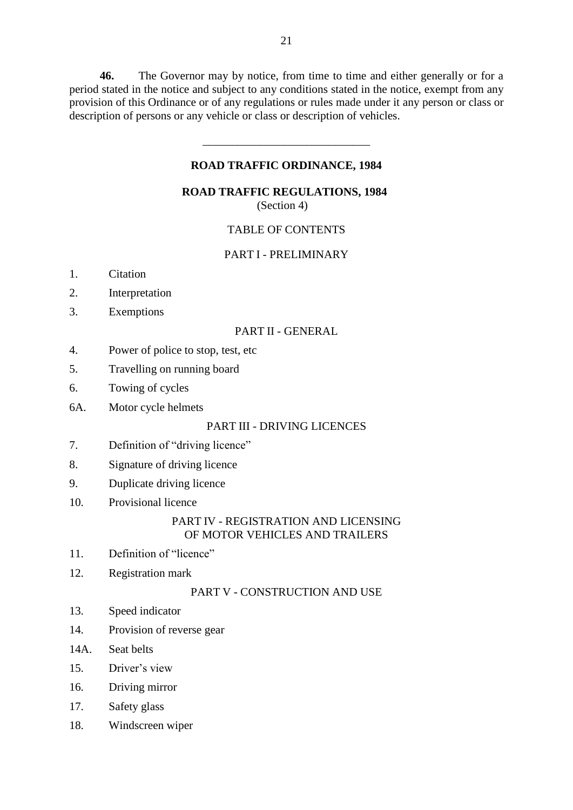**46.** The Governor may by notice, from time to time and either generally or for a period stated in the notice and subject to any conditions stated in the notice, exempt from any provision of this Ordinance or of any regulations or rules made under it any person or class or description of persons or any vehicle or class or description of vehicles.

### **ROAD TRAFFIC ORDINANCE, 1984**

\_\_\_\_\_\_\_\_\_\_\_\_\_\_\_\_\_\_\_\_\_\_\_\_\_\_\_\_\_

# **ROAD TRAFFIC REGULATIONS, 1984**

(Section 4)

# TABLE OF CONTENTS

### PART I - PRELIMINARY

- 1. Citation
- 2. Interpretation
- 3. Exemptions

#### PART II - GENERAL

- 4. Power of police to stop, test, etc
- 5. Travelling on running board
- 6. Towing of cycles
- 6A. Motor cycle helmets

### PART III - DRIVING LICENCES

- 7. Definition of "driving licence"
- 8. Signature of driving licence
- 9. Duplicate driving licence
- 10. Provisional licence

### PART IV - REGISTRATION AND LICENSING OF MOTOR VEHICLES AND TRAILERS

- 11. Definition of "licence"
- 12. Registration mark

#### PART V - CONSTRUCTION AND USE

- 13. Speed indicator
- 14. Provision of reverse gear
- 14A. Seat belts
- 15. Driver's view
- 16. Driving mirror
- 17. Safety glass
- 18. Windscreen wiper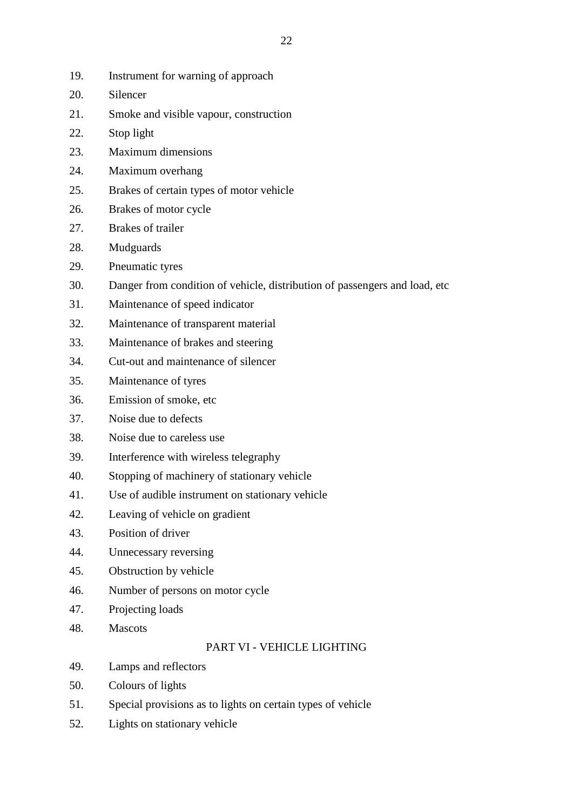- 19. Instrument for warning of approach
- 20. Silencer
- 21. Smoke and visible vapour, construction
- 22. Stop light
- 23. Maximum dimensions
- 24. Maximum overhang
- 25. Brakes of certain types of motor vehicle
- 26. Brakes of motor cycle
- 27. Brakes of trailer
- 28. Mudguards
- 29. Pneumatic tyres
- 30. Danger from condition of vehicle, distribution of passengers and load, etc
- 31. Maintenance of speed indicator
- 32. Maintenance of transparent material
- 33. Maintenance of brakes and steering
- 34. Cut-out and maintenance of silencer
- 35. Maintenance of tyres
- 36. Emission of smoke, etc
- 37. Noise due to defects
- 38. Noise due to careless use
- 39. Interference with wireless telegraphy
- 40. Stopping of machinery of stationary vehicle
- 41. Use of audible instrument on stationary vehicle
- 42. Leaving of vehicle on gradient
- 43. Position of driver
- 44. Unnecessary reversing
- 45. Obstruction by vehicle
- 46. Number of persons on motor cycle
- 47. Projecting loads
- 48. Mascots

# PART VI - VEHICLE LIGHTING

- 49. Lamps and reflectors
- 50. Colours of lights
- 51. Special provisions as to lights on certain types of vehicle
- 52. Lights on stationary vehicle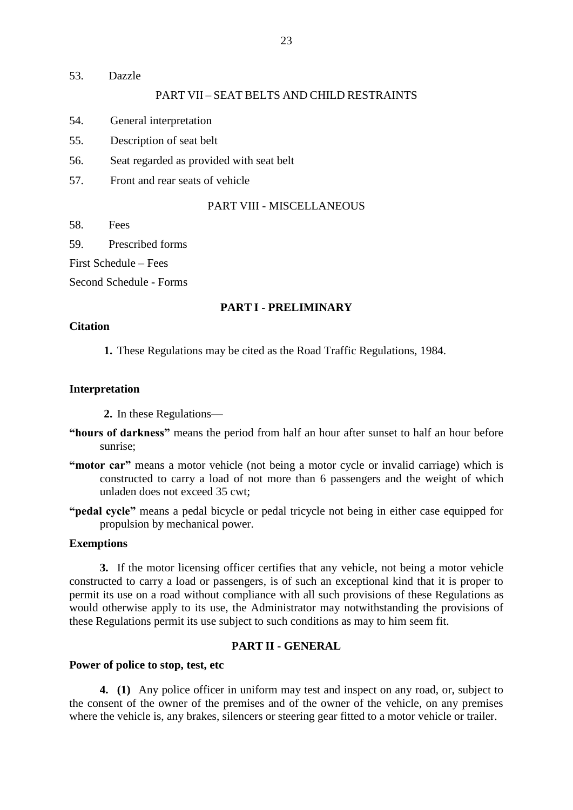### 53. Dazzle

#### PART VII – SEAT BELTS AND CHILD RESTRAINTS

- 54. General interpretation
- 55. Description of seat belt
- 56. Seat regarded as provided with seat belt
- 57. Front and rear seats of vehicle

### PART VIII - MISCELLANEOUS

58. Fees

59. Prescribed forms

First Schedule – Fees

Second Schedule - Forms

### **PART I - PRELIMINARY**

#### **Citation**

**1.** These Regulations may be cited as the Road Traffic Regulations, 1984.

#### **Interpretation**

**2.** In these Regulations—

- **"hours of darkness"** means the period from half an hour after sunset to half an hour before sunrise;
- **"motor car"** means a motor vehicle (not being a motor cycle or invalid carriage) which is constructed to carry a load of not more than 6 passengers and the weight of which unladen does not exceed 35 cwt;
- **"pedal cycle"** means a pedal bicycle or pedal tricycle not being in either case equipped for propulsion by mechanical power.

#### **Exemptions**

**3.** If the motor licensing officer certifies that any vehicle, not being a motor vehicle constructed to carry a load or passengers, is of such an exceptional kind that it is proper to permit its use on a road without compliance with all such provisions of these Regulations as would otherwise apply to its use, the Administrator may notwithstanding the provisions of these Regulations permit its use subject to such conditions as may to him seem fit.

#### **PART II - GENERAL**

#### **Power of police to stop, test, etc**

**4. (1)** Any police officer in uniform may test and inspect on any road, or, subject to the consent of the owner of the premises and of the owner of the vehicle, on any premises where the vehicle is, any brakes, silencers or steering gear fitted to a motor vehicle or trailer.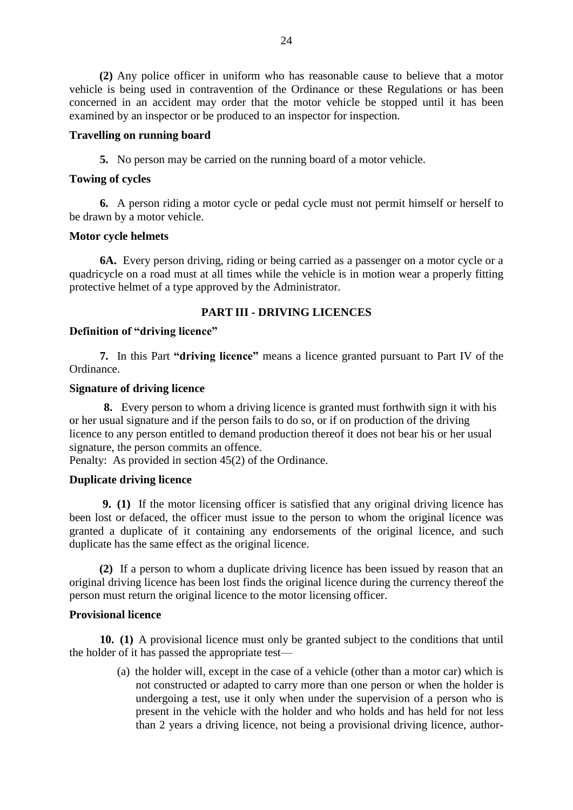**(2)** Any police officer in uniform who has reasonable cause to believe that a motor vehicle is being used in contravention of the Ordinance or these Regulations or has been concerned in an accident may order that the motor vehicle be stopped until it has been examined by an inspector or be produced to an inspector for inspection.

#### **Travelling on running board**

**5.** No person may be carried on the running board of a motor vehicle.

#### **Towing of cycles**

**6.** A person riding a motor cycle or pedal cycle must not permit himself or herself to be drawn by a motor vehicle.

# **Motor cycle helmets**

**6A.** Every person driving, riding or being carried as a passenger on a motor cycle or a quadricycle on a road must at all times while the vehicle is in motion wear a properly fitting protective helmet of a type approved by the Administrator.

### **PART III - DRIVING LICENCES**

#### **Definition of "driving licence"**

**7.** In this Part **"driving licence"** means a licence granted pursuant to Part IV of the Ordinance.

#### **Signature of driving licence**

**8.** Every person to whom a driving licence is granted must forthwith sign it with his or her usual signature and if the person fails to do so, or if on production of the driving licence to any person entitled to demand production thereof it does not bear his or her usual signature, the person commits an offence.

Penalty: As provided in section 45(2) of the Ordinance.

#### **Duplicate driving licence**

**9. (1)** If the motor licensing officer is satisfied that any original driving licence has been lost or defaced, the officer must issue to the person to whom the original licence was granted a duplicate of it containing any endorsements of the original licence, and such duplicate has the same effect as the original licence.

**(2)** If a person to whom a duplicate driving licence has been issued by reason that an original driving licence has been lost finds the original licence during the currency thereof the person must return the original licence to the motor licensing officer.

### **Provisional licence**

**10. (1)** A provisional licence must only be granted subject to the conditions that until the holder of it has passed the appropriate test—

> (a) the holder will, except in the case of a vehicle (other than a motor car) which is not constructed or adapted to carry more than one person or when the holder is undergoing a test, use it only when under the supervision of a person who is present in the vehicle with the holder and who holds and has held for not less than 2 years a driving licence, not being a provisional driving licence, author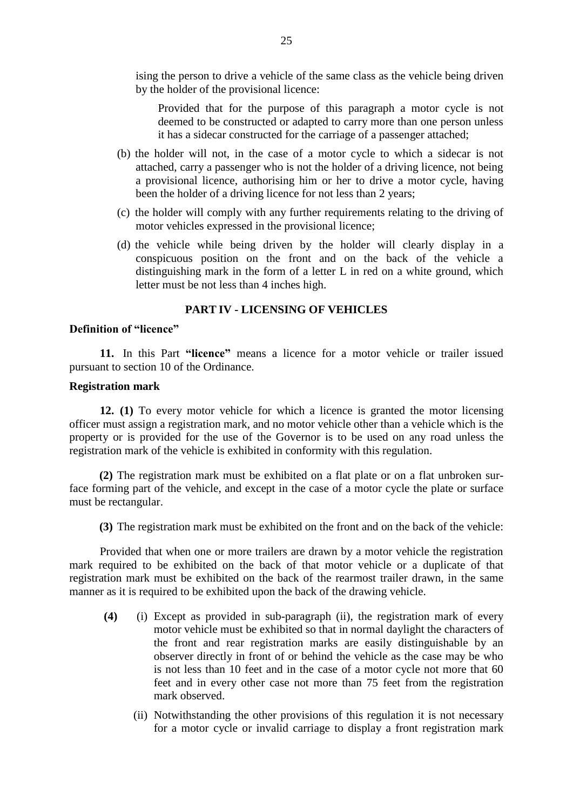ising the person to drive a vehicle of the same class as the vehicle being driven by the holder of the provisional licence:

Provided that for the purpose of this paragraph a motor cycle is not deemed to be constructed or adapted to carry more than one person unless it has a sidecar constructed for the carriage of a passenger attached;

- (b) the holder will not, in the case of a motor cycle to which a sidecar is not attached, carry a passenger who is not the holder of a driving licence, not being a provisional licence, authorising him or her to drive a motor cycle, having been the holder of a driving licence for not less than 2 years;
- (c) the holder will comply with any further requirements relating to the driving of motor vehicles expressed in the provisional licence;
- (d) the vehicle while being driven by the holder will clearly display in a conspicuous position on the front and on the back of the vehicle a distinguishing mark in the form of a letter L in red on a white ground, which letter must be not less than 4 inches high.

### **PART IV - LICENSING OF VEHICLES**

### **Definition of "licence"**

**11.** In this Part **"licence"** means a licence for a motor vehicle or trailer issued pursuant to section 10 of the Ordinance.

#### **Registration mark**

**12. (1)** To every motor vehicle for which a licence is granted the motor licensing officer must assign a registration mark, and no motor vehicle other than a vehicle which is the property or is provided for the use of the Governor is to be used on any road unless the registration mark of the vehicle is exhibited in conformity with this regulation.

**(2)** The registration mark must be exhibited on a flat plate or on a flat unbroken surface forming part of the vehicle, and except in the case of a motor cycle the plate or surface must be rectangular.

**(3)** The registration mark must be exhibited on the front and on the back of the vehicle:

Provided that when one or more trailers are drawn by a motor vehicle the registration mark required to be exhibited on the back of that motor vehicle or a duplicate of that registration mark must be exhibited on the back of the rearmost trailer drawn, in the same manner as it is required to be exhibited upon the back of the drawing vehicle.

- **(4)** (i) Except as provided in sub-paragraph (ii), the registration mark of every motor vehicle must be exhibited so that in normal daylight the characters of the front and rear registration marks are easily distinguishable by an observer directly in front of or behind the vehicle as the case may be who is not less than 10 feet and in the case of a motor cycle not more that 60 feet and in every other case not more than 75 feet from the registration mark observed.
	- (ii) Notwithstanding the other provisions of this regulation it is not necessary for a motor cycle or invalid carriage to display a front registration mark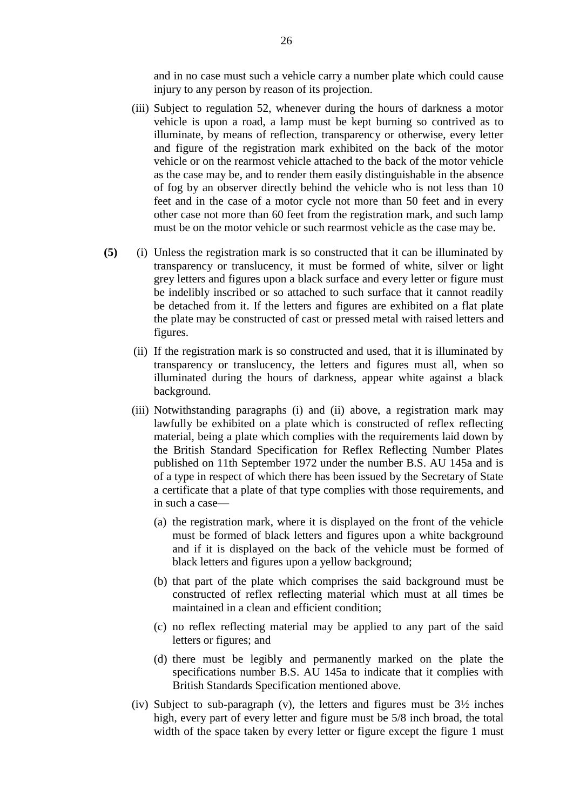and in no case must such a vehicle carry a number plate which could cause injury to any person by reason of its projection.

- (iii) Subject to regulation 52, whenever during the hours of darkness a motor vehicle is upon a road, a lamp must be kept burning so contrived as to illuminate, by means of reflection, transparency or otherwise, every letter and figure of the registration mark exhibited on the back of the motor vehicle or on the rearmost vehicle attached to the back of the motor vehicle as the case may be, and to render them easily distinguishable in the absence of fog by an observer directly behind the vehicle who is not less than 10 feet and in the case of a motor cycle not more than 50 feet and in every other case not more than 60 feet from the registration mark, and such lamp must be on the motor vehicle or such rearmost vehicle as the case may be.
- **(5)** (i) Unless the registration mark is so constructed that it can be illuminated by transparency or translucency, it must be formed of white, silver or light grey letters and figures upon a black surface and every letter or figure must be indelibly inscribed or so attached to such surface that it cannot readily be detached from it. If the letters and figures are exhibited on a flat plate the plate may be constructed of cast or pressed metal with raised letters and figures.
	- (ii) If the registration mark is so constructed and used, that it is illuminated by transparency or translucency, the letters and figures must all, when so illuminated during the hours of darkness, appear white against a black background.
	- (iii) Notwithstanding paragraphs (i) and (ii) above, a registration mark may lawfully be exhibited on a plate which is constructed of reflex reflecting material, being a plate which complies with the requirements laid down by the British Standard Specification for Reflex Reflecting Number Plates published on 11th September 1972 under the number B.S. AU 145a and is of a type in respect of which there has been issued by the Secretary of State a certificate that a plate of that type complies with those requirements, and in such a case—
		- (a) the registration mark, where it is displayed on the front of the vehicle must be formed of black letters and figures upon a white background and if it is displayed on the back of the vehicle must be formed of black letters and figures upon a yellow background;
		- (b) that part of the plate which comprises the said background must be constructed of reflex reflecting material which must at all times be maintained in a clean and efficient condition;
		- (c) no reflex reflecting material may be applied to any part of the said letters or figures; and
		- (d) there must be legibly and permanently marked on the plate the specifications number B.S. AU 145a to indicate that it complies with British Standards Specification mentioned above.
	- (iv) Subject to sub-paragraph (v), the letters and figures must be  $3\frac{1}{2}$  inches high, every part of every letter and figure must be 5/8 inch broad, the total width of the space taken by every letter or figure except the figure 1 must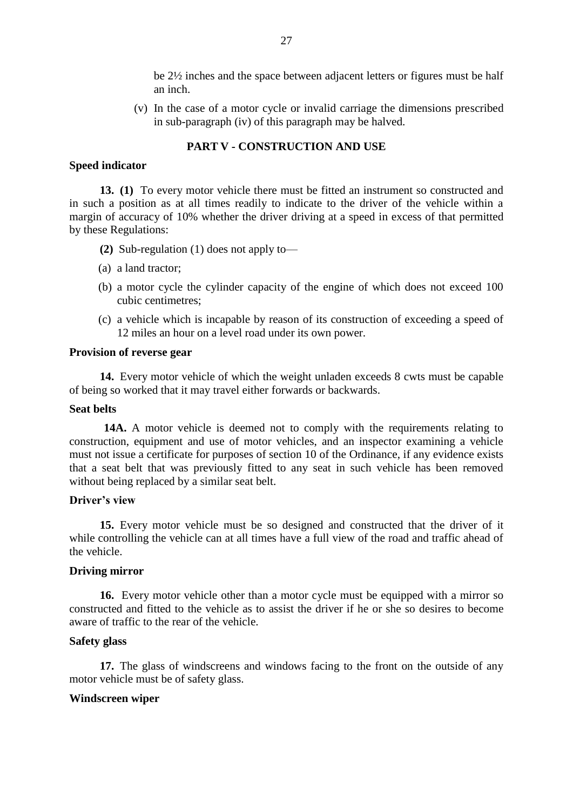be 2½ inches and the space between adjacent letters or figures must be half an inch.

(v) In the case of a motor cycle or invalid carriage the dimensions prescribed in sub-paragraph (iv) of this paragraph may be halved.

### **PART V - CONSTRUCTION AND USE**

#### **Speed indicator**

**13. (1)** To every motor vehicle there must be fitted an instrument so constructed and in such a position as at all times readily to indicate to the driver of the vehicle within a margin of accuracy of 10% whether the driver driving at a speed in excess of that permitted by these Regulations:

- **(2)** Sub-regulation (1) does not apply to—
- (a) a land tractor;
- (b) a motor cycle the cylinder capacity of the engine of which does not exceed 100 cubic centimetres;
- (c) a vehicle which is incapable by reason of its construction of exceeding a speed of 12 miles an hour on a level road under its own power.

#### **Provision of reverse gear**

**14.** Every motor vehicle of which the weight unladen exceeds 8 cwts must be capable of being so worked that it may travel either forwards or backwards.

#### **Seat belts**

**14A.** A motor vehicle is deemed not to comply with the requirements relating to construction, equipment and use of motor vehicles, and an inspector examining a vehicle must not issue a certificate for purposes of section 10 of the Ordinance, if any evidence exists that a seat belt that was previously fitted to any seat in such vehicle has been removed without being replaced by a similar seat belt.

### **Driver's view**

**15.** Every motor vehicle must be so designed and constructed that the driver of it while controlling the vehicle can at all times have a full view of the road and traffic ahead of the vehicle.

#### **Driving mirror**

**16.** Every motor vehicle other than a motor cycle must be equipped with a mirror so constructed and fitted to the vehicle as to assist the driver if he or she so desires to become aware of traffic to the rear of the vehicle.

#### **Safety glass**

**17.** The glass of windscreens and windows facing to the front on the outside of any motor vehicle must be of safety glass.

#### **Windscreen wiper**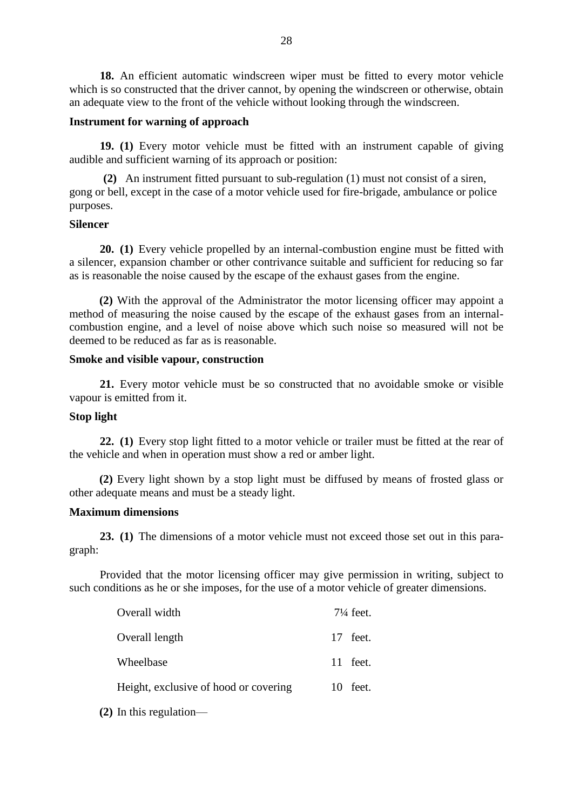**18.** An efficient automatic windscreen wiper must be fitted to every motor vehicle which is so constructed that the driver cannot, by opening the windscreen or otherwise, obtain an adequate view to the front of the vehicle without looking through the windscreen.

#### **Instrument for warning of approach**

**19. (1)** Every motor vehicle must be fitted with an instrument capable of giving audible and sufficient warning of its approach or position:

**(2)** An instrument fitted pursuant to sub-regulation (1) must not consist of a siren, gong or bell, except in the case of a motor vehicle used for fire-brigade, ambulance or police purposes.

#### **Silencer**

**20. (1)** Every vehicle propelled by an internal-combustion engine must be fitted with a silencer, expansion chamber or other contrivance suitable and sufficient for reducing so far as is reasonable the noise caused by the escape of the exhaust gases from the engine.

**(2)** With the approval of the Administrator the motor licensing officer may appoint a method of measuring the noise caused by the escape of the exhaust gases from an internalcombustion engine, and a level of noise above which such noise so measured will not be deemed to be reduced as far as is reasonable.

### **Smoke and visible vapour, construction**

**21.** Every motor vehicle must be so constructed that no avoidable smoke or visible vapour is emitted from it.

### **Stop light**

**22. (1)** Every stop light fitted to a motor vehicle or trailer must be fitted at the rear of the vehicle and when in operation must show a red or amber light.

**(2)** Every light shown by a stop light must be diffused by means of frosted glass or other adequate means and must be a steady light.

### **Maximum dimensions**

**23. (1)** The dimensions of a motor vehicle must not exceed those set out in this paragraph:

Provided that the motor licensing officer may give permission in writing, subject to such conditions as he or she imposes, for the use of a motor vehicle of greater dimensions.

| Overall width                         | $7\frac{1}{4}$ feet. |
|---------------------------------------|----------------------|
| Overall length                        | 17 feet.             |
| Wheelbase                             | 11 feet.             |
| Height, exclusive of hood or covering | 10 feet.             |

**(2)** In this regulation—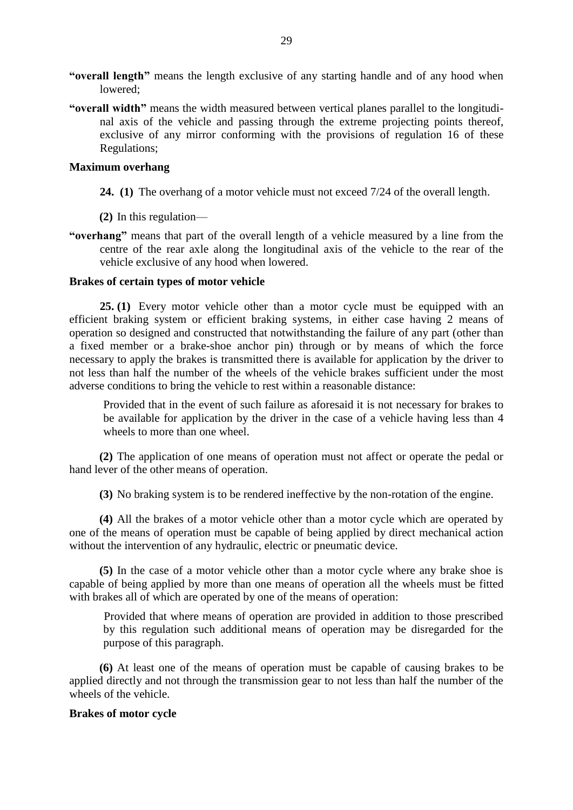- **"overall length"** means the length exclusive of any starting handle and of any hood when lowered;
- **"overall width"** means the width measured between vertical planes parallel to the longitudinal axis of the vehicle and passing through the extreme projecting points thereof, exclusive of any mirror conforming with the provisions of regulation 16 of these Regulations;

### **Maximum overhang**

**24. (1)** The overhang of a motor vehicle must not exceed 7/24 of the overall length.

**(2)** In this regulation—

**"overhang"** means that part of the overall length of a vehicle measured by a line from the centre of the rear axle along the longitudinal axis of the vehicle to the rear of the vehicle exclusive of any hood when lowered.

# **Brakes of certain types of motor vehicle**

**25. (1)** Every motor vehicle other than a motor cycle must be equipped with an efficient braking system or efficient braking systems, in either case having 2 means of operation so designed and constructed that notwithstanding the failure of any part (other than a fixed member or a brake-shoe anchor pin) through or by means of which the force necessary to apply the brakes is transmitted there is available for application by the driver to not less than half the number of the wheels of the vehicle brakes sufficient under the most adverse conditions to bring the vehicle to rest within a reasonable distance:

Provided that in the event of such failure as aforesaid it is not necessary for brakes to be available for application by the driver in the case of a vehicle having less than 4 wheels to more than one wheel.

**(2)** The application of one means of operation must not affect or operate the pedal or hand lever of the other means of operation.

**(3)** No braking system is to be rendered ineffective by the non-rotation of the engine.

**(4)** All the brakes of a motor vehicle other than a motor cycle which are operated by one of the means of operation must be capable of being applied by direct mechanical action without the intervention of any hydraulic, electric or pneumatic device.

**(5)** In the case of a motor vehicle other than a motor cycle where any brake shoe is capable of being applied by more than one means of operation all the wheels must be fitted with brakes all of which are operated by one of the means of operation:

Provided that where means of operation are provided in addition to those prescribed by this regulation such additional means of operation may be disregarded for the purpose of this paragraph.

**(6)** At least one of the means of operation must be capable of causing brakes to be applied directly and not through the transmission gear to not less than half the number of the wheels of the vehicle.

### **Brakes of motor cycle**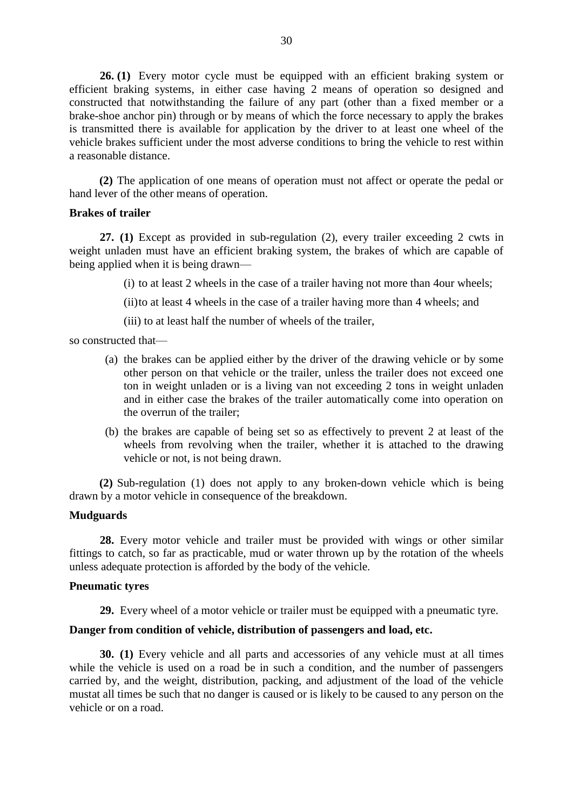**26. (1)** Every motor cycle must be equipped with an efficient braking system or efficient braking systems, in either case having 2 means of operation so designed and constructed that notwithstanding the failure of any part (other than a fixed member or a brake-shoe anchor pin) through or by means of which the force necessary to apply the brakes is transmitted there is available for application by the driver to at least one wheel of the vehicle brakes sufficient under the most adverse conditions to bring the vehicle to rest within a reasonable distance.

**(2)** The application of one means of operation must not affect or operate the pedal or hand lever of the other means of operation.

#### **Brakes of trailer**

**27. (1)** Except as provided in sub-regulation (2), every trailer exceeding 2 cwts in weight unladen must have an efficient braking system, the brakes of which are capable of being applied when it is being drawn—

(i) to at least 2 wheels in the case of a trailer having not more than 4our wheels;

(ii)to at least 4 wheels in the case of a trailer having more than 4 wheels; and

(iii) to at least half the number of wheels of the trailer,

so constructed that—

- (a) the brakes can be applied either by the driver of the drawing vehicle or by some other person on that vehicle or the trailer, unless the trailer does not exceed one ton in weight unladen or is a living van not exceeding 2 tons in weight unladen and in either case the brakes of the trailer automatically come into operation on the overrun of the trailer;
- (b) the brakes are capable of being set so as effectively to prevent 2 at least of the wheels from revolving when the trailer, whether it is attached to the drawing vehicle or not, is not being drawn.

**(2)** Sub-regulation (1) does not apply to any broken-down vehicle which is being drawn by a motor vehicle in consequence of the breakdown.

#### **Mudguards**

**28.** Every motor vehicle and trailer must be provided with wings or other similar fittings to catch, so far as practicable, mud or water thrown up by the rotation of the wheels unless adequate protection is afforded by the body of the vehicle.

#### **Pneumatic tyres**

**29.** Every wheel of a motor vehicle or trailer must be equipped with a pneumatic tyre.

#### **Danger from condition of vehicle, distribution of passengers and load, etc.**

**30. (1)** Every vehicle and all parts and accessories of any vehicle must at all times while the vehicle is used on a road be in such a condition, and the number of passengers carried by, and the weight, distribution, packing, and adjustment of the load of the vehicle mustat all times be such that no danger is caused or is likely to be caused to any person on the vehicle or on a road.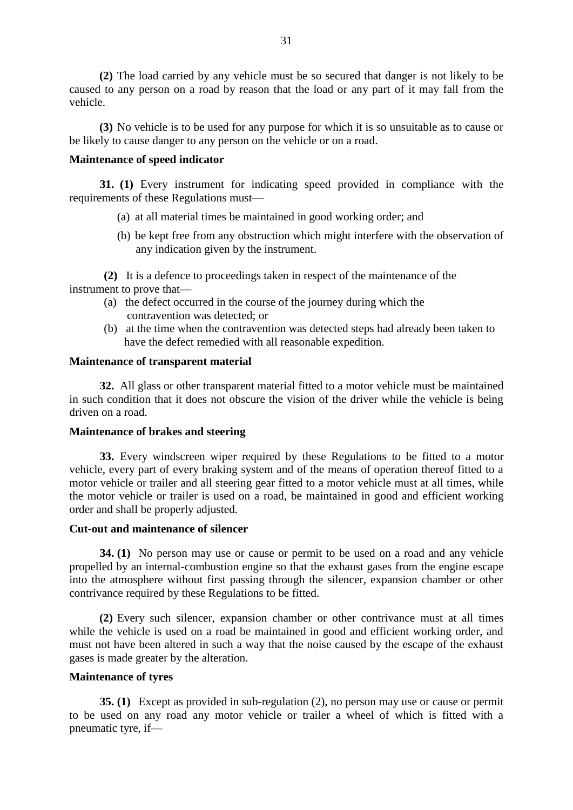**(2)** The load carried by any vehicle must be so secured that danger is not likely to be caused to any person on a road by reason that the load or any part of it may fall from the vehicle.

**(3)** No vehicle is to be used for any purpose for which it is so unsuitable as to cause or be likely to cause danger to any person on the vehicle or on a road.

#### **Maintenance of speed indicator**

**31. (1)** Every instrument for indicating speed provided in compliance with the requirements of these Regulations must—

- (a) at all material times be maintained in good working order; and
- (b) be kept free from any obstruction which might interfere with the observation of any indication given by the instrument.

**(2)** It is a defence to proceedings taken in respect of the maintenance of the instrument to prove that—

- (a) the defect occurred in the course of the journey during which the contravention was detected; or
- (b) at the time when the contravention was detected steps had already been taken to have the defect remedied with all reasonable expedition.

#### **Maintenance of transparent material**

**32.** All glass or other transparent material fitted to a motor vehicle must be maintained in such condition that it does not obscure the vision of the driver while the vehicle is being driven on a road.

#### **Maintenance of brakes and steering**

**33.** Every windscreen wiper required by these Regulations to be fitted to a motor vehicle, every part of every braking system and of the means of operation thereof fitted to a motor vehicle or trailer and all steering gear fitted to a motor vehicle must at all times, while the motor vehicle or trailer is used on a road, be maintained in good and efficient working order and shall be properly adjusted.

#### **Cut-out and maintenance of silencer**

**34. (1)** No person may use or cause or permit to be used on a road and any vehicle propelled by an internal-combustion engine so that the exhaust gases from the engine escape into the atmosphere without first passing through the silencer, expansion chamber or other contrivance required by these Regulations to be fitted.

**(2)** Every such silencer, expansion chamber or other contrivance must at all times while the vehicle is used on a road be maintained in good and efficient working order, and must not have been altered in such a way that the noise caused by the escape of the exhaust gases is made greater by the alteration.

#### **Maintenance of tyres**

**35. (1)** Except as provided in sub-regulation (2), no person may use or cause or permit to be used on any road any motor vehicle or trailer a wheel of which is fitted with a pneumatic tyre, if—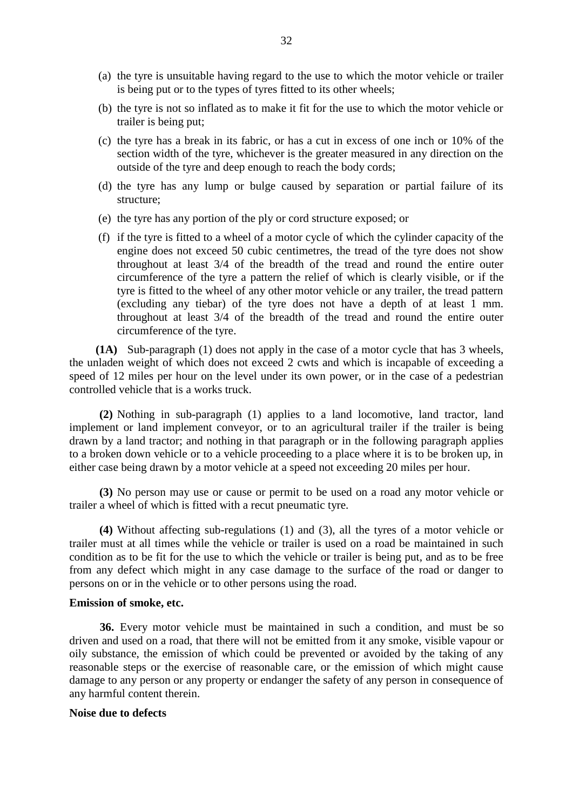- (a) the tyre is unsuitable having regard to the use to which the motor vehicle or trailer is being put or to the types of tyres fitted to its other wheels;
- (b) the tyre is not so inflated as to make it fit for the use to which the motor vehicle or trailer is being put;
- (c) the tyre has a break in its fabric, or has a cut in excess of one inch or 10% of the section width of the tyre, whichever is the greater measured in any direction on the outside of the tyre and deep enough to reach the body cords;
- (d) the tyre has any lump or bulge caused by separation or partial failure of its structure;
- (e) the tyre has any portion of the ply or cord structure exposed; or
- (f) if the tyre is fitted to a wheel of a motor cycle of which the cylinder capacity of the engine does not exceed 50 cubic centimetres, the tread of the tyre does not show throughout at least 3/4 of the breadth of the tread and round the entire outer circumference of the tyre a pattern the relief of which is clearly visible, or if the tyre is fitted to the wheel of any other motor vehicle or any trailer, the tread pattern (excluding any tiebar) of the tyre does not have a depth of at least 1 mm. throughout at least 3/4 of the breadth of the tread and round the entire outer circumference of the tyre.

**(1A)** Sub-paragraph (1) does not apply in the case of a motor cycle that has 3 wheels, the unladen weight of which does not exceed 2 cwts and which is incapable of exceeding a speed of 12 miles per hour on the level under its own power, or in the case of a pedestrian controlled vehicle that is a works truck.

**(2)** Nothing in sub-paragraph (1) applies to a land locomotive, land tractor, land implement or land implement conveyor, or to an agricultural trailer if the trailer is being drawn by a land tractor; and nothing in that paragraph or in the following paragraph applies to a broken down vehicle or to a vehicle proceeding to a place where it is to be broken up, in either case being drawn by a motor vehicle at a speed not exceeding 20 miles per hour.

**(3)** No person may use or cause or permit to be used on a road any motor vehicle or trailer a wheel of which is fitted with a recut pneumatic tyre.

**(4)** Without affecting sub-regulations (1) and (3), all the tyres of a motor vehicle or trailer must at all times while the vehicle or trailer is used on a road be maintained in such condition as to be fit for the use to which the vehicle or trailer is being put, and as to be free from any defect which might in any case damage to the surface of the road or danger to persons on or in the vehicle or to other persons using the road.

#### **Emission of smoke, etc.**

**36.** Every motor vehicle must be maintained in such a condition, and must be so driven and used on a road, that there will not be emitted from it any smoke, visible vapour or oily substance, the emission of which could be prevented or avoided by the taking of any reasonable steps or the exercise of reasonable care, or the emission of which might cause damage to any person or any property or endanger the safety of any person in consequence of any harmful content therein.

#### **Noise due to defects**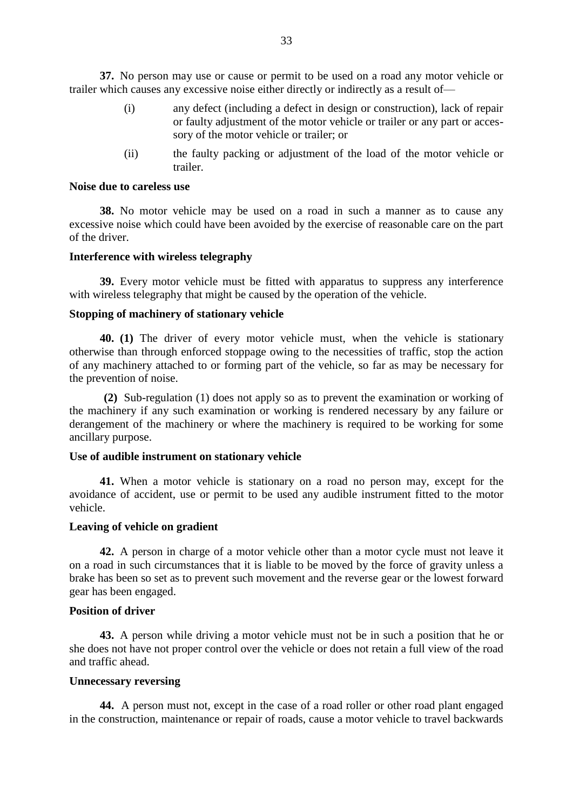**37.** No person may use or cause or permit to be used on a road any motor vehicle or trailer which causes any excessive noise either directly or indirectly as a result of—

- (i) any defect (including a defect in design or construction), lack of repair or faulty adjustment of the motor vehicle or trailer or any part or accessory of the motor vehicle or trailer; or
- (ii) the faulty packing or adjustment of the load of the motor vehicle or trailer.

### **Noise due to careless use**

**38.** No motor vehicle may be used on a road in such a manner as to cause any excessive noise which could have been avoided by the exercise of reasonable care on the part of the driver.

#### **Interference with wireless telegraphy**

**39.** Every motor vehicle must be fitted with apparatus to suppress any interference with wireless telegraphy that might be caused by the operation of the vehicle.

### **Stopping of machinery of stationary vehicle**

**40. (1)** The driver of every motor vehicle must, when the vehicle is stationary otherwise than through enforced stoppage owing to the necessities of traffic, stop the action of any machinery attached to or forming part of the vehicle, so far as may be necessary for the prevention of noise.

**(2)** Sub-regulation (1) does not apply so as to prevent the examination or working of the machinery if any such examination or working is rendered necessary by any failure or derangement of the machinery or where the machinery is required to be working for some ancillary purpose.

#### **Use of audible instrument on stationary vehicle**

**41.** When a motor vehicle is stationary on a road no person may, except for the avoidance of accident, use or permit to be used any audible instrument fitted to the motor vehicle.

#### **Leaving of vehicle on gradient**

**42.** A person in charge of a motor vehicle other than a motor cycle must not leave it on a road in such circumstances that it is liable to be moved by the force of gravity unless a brake has been so set as to prevent such movement and the reverse gear or the lowest forward gear has been engaged.

### **Position of driver**

**43.** A person while driving a motor vehicle must not be in such a position that he or she does not have not proper control over the vehicle or does not retain a full view of the road and traffic ahead.

#### **Unnecessary reversing**

**44.** A person must not, except in the case of a road roller or other road plant engaged in the construction, maintenance or repair of roads, cause a motor vehicle to travel backwards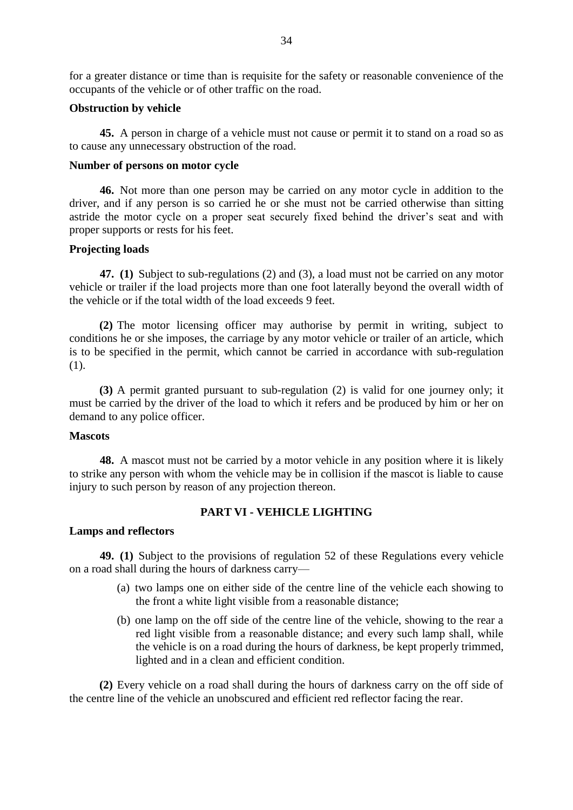for a greater distance or time than is requisite for the safety or reasonable convenience of the occupants of the vehicle or of other traffic on the road.

#### **Obstruction by vehicle**

**45.** A person in charge of a vehicle must not cause or permit it to stand on a road so as to cause any unnecessary obstruction of the road.

### **Number of persons on motor cycle**

**46.** Not more than one person may be carried on any motor cycle in addition to the driver, and if any person is so carried he or she must not be carried otherwise than sitting astride the motor cycle on a proper seat securely fixed behind the driver's seat and with proper supports or rests for his feet.

### **Projecting loads**

**47. (1)** Subject to sub-regulations (2) and (3), a load must not be carried on any motor vehicle or trailer if the load projects more than one foot laterally beyond the overall width of the vehicle or if the total width of the load exceeds 9 feet.

**(2)** The motor licensing officer may authorise by permit in writing, subject to conditions he or she imposes, the carriage by any motor vehicle or trailer of an article, which is to be specified in the permit, which cannot be carried in accordance with sub-regulation (1).

**(3)** A permit granted pursuant to sub-regulation (2) is valid for one journey only; it must be carried by the driver of the load to which it refers and be produced by him or her on demand to any police officer.

#### **Mascots**

**48.** A mascot must not be carried by a motor vehicle in any position where it is likely to strike any person with whom the vehicle may be in collision if the mascot is liable to cause injury to such person by reason of any projection thereon.

### **PART VI - VEHICLE LIGHTING**

#### **Lamps and reflectors**

**49. (1)** Subject to the provisions of regulation 52 of these Regulations every vehicle on a road shall during the hours of darkness carry—

- (a) two lamps one on either side of the centre line of the vehicle each showing to the front a white light visible from a reasonable distance;
- (b) one lamp on the off side of the centre line of the vehicle, showing to the rear a red light visible from a reasonable distance; and every such lamp shall, while the vehicle is on a road during the hours of darkness, be kept properly trimmed, lighted and in a clean and efficient condition.

**(2)** Every vehicle on a road shall during the hours of darkness carry on the off side of the centre line of the vehicle an unobscured and efficient red reflector facing the rear.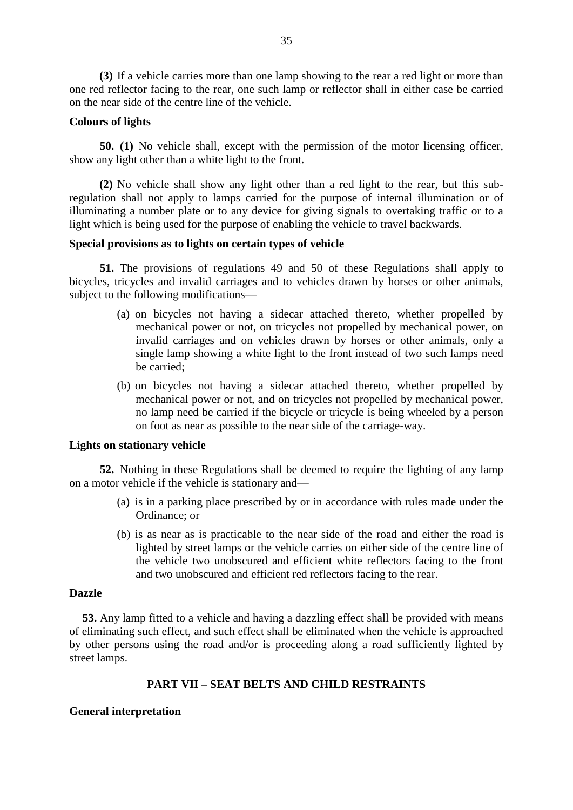**(3)** If a vehicle carries more than one lamp showing to the rear a red light or more than one red reflector facing to the rear, one such lamp or reflector shall in either case be carried on the near side of the centre line of the vehicle.

#### **Colours of lights**

**50. (1)** No vehicle shall, except with the permission of the motor licensing officer, show any light other than a white light to the front.

**(2)** No vehicle shall show any light other than a red light to the rear, but this subregulation shall not apply to lamps carried for the purpose of internal illumination or of illuminating a number plate or to any device for giving signals to overtaking traffic or to a light which is being used for the purpose of enabling the vehicle to travel backwards.

#### **Special provisions as to lights on certain types of vehicle**

**51.** The provisions of regulations 49 and 50 of these Regulations shall apply to bicycles, tricycles and invalid carriages and to vehicles drawn by horses or other animals, subject to the following modifications—

- (a) on bicycles not having a sidecar attached thereto, whether propelled by mechanical power or not, on tricycles not propelled by mechanical power, on invalid carriages and on vehicles drawn by horses or other animals, only a single lamp showing a white light to the front instead of two such lamps need be carried;
- (b) on bicycles not having a sidecar attached thereto, whether propelled by mechanical power or not, and on tricycles not propelled by mechanical power, no lamp need be carried if the bicycle or tricycle is being wheeled by a person on foot as near as possible to the near side of the carriage-way.

#### **Lights on stationary vehicle**

**52.** Nothing in these Regulations shall be deemed to require the lighting of any lamp on a motor vehicle if the vehicle is stationary and—

- (a) is in a parking place prescribed by or in accordance with rules made under the Ordinance; or
- (b) is as near as is practicable to the near side of the road and either the road is lighted by street lamps or the vehicle carries on either side of the centre line of the vehicle two unobscured and efficient white reflectors facing to the front and two unobscured and efficient red reflectors facing to the rear.

#### **Dazzle**

**53.** Any lamp fitted to a vehicle and having a dazzling effect shall be provided with means of eliminating such effect, and such effect shall be eliminated when the vehicle is approached by other persons using the road and/or is proceeding along a road sufficiently lighted by street lamps.

### **PART VII – SEAT BELTS AND CHILD RESTRAINTS**

#### **General interpretation**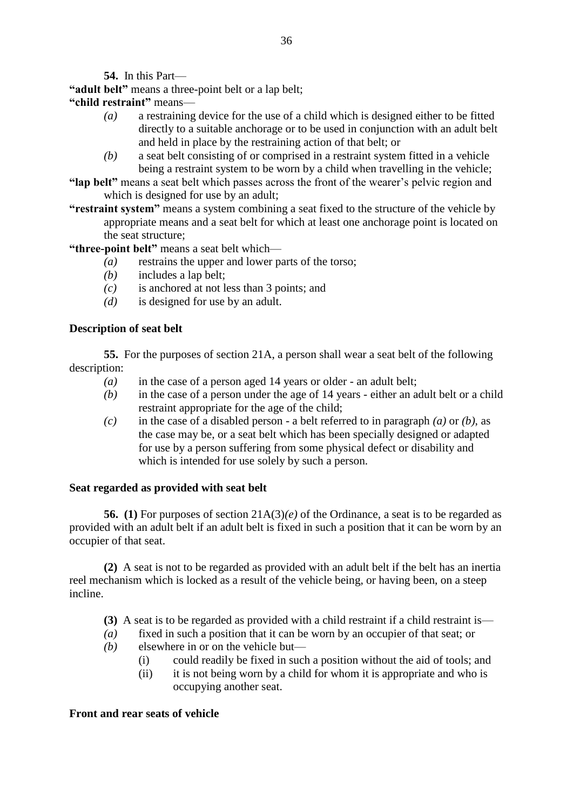**54.** In this Part—

**"adult belt"** means a three-point belt or a lap belt;

**"child restraint"** means—

- *(a)* a restraining device for the use of a child which is designed either to be fitted directly to a suitable anchorage or to be used in conjunction with an adult belt and held in place by the restraining action of that belt; or
- *(b)* a seat belt consisting of or comprised in a restraint system fitted in a vehicle being a restraint system to be worn by a child when travelling in the vehicle;
- **"lap belt"** means a seat belt which passes across the front of the wearer's pelvic region and which is designed for use by an adult;
- **"restraint system"** means a system combining a seat fixed to the structure of the vehicle by appropriate means and a seat belt for which at least one anchorage point is located on the seat structure;

# **"three-point belt"** means a seat belt which—

- *(a)* restrains the upper and lower parts of the torso;
- *(b)* includes a lap belt;
- *(c)* is anchored at not less than 3 points; and
- *(d)* is designed for use by an adult.

# **Description of seat belt**

**55.** For the purposes of section 21A, a person shall wear a seat belt of the following description:

- *(a)* in the case of a person aged 14 years or older an adult belt;
- *(b)* in the case of a person under the age of 14 years either an adult belt or a child restraint appropriate for the age of the child;
- *(c)* in the case of a disabled person a belt referred to in paragraph *(a)* or *(b)*, as the case may be, or a seat belt which has been specially designed or adapted for use by a person suffering from some physical defect or disability and which is intended for use solely by such a person.

### **Seat regarded as provided with seat belt**

**56. (1)** For purposes of section 21A(3)*(e)* of the Ordinance, a seat is to be regarded as provided with an adult belt if an adult belt is fixed in such a position that it can be worn by an occupier of that seat.

**(2)** A seat is not to be regarded as provided with an adult belt if the belt has an inertia reel mechanism which is locked as a result of the vehicle being, or having been, on a steep incline.

- **(3)** A seat is to be regarded as provided with a child restraint if a child restraint is—
- *(a)* fixed in such a position that it can be worn by an occupier of that seat; or *(b)* elsewhere in or on the vehicle but—
	- (i) could readily be fixed in such a position without the aid of tools; and
	- (ii) it is not being worn by a child for whom it is appropriate and who is occupying another seat.

### **Front and rear seats of vehicle**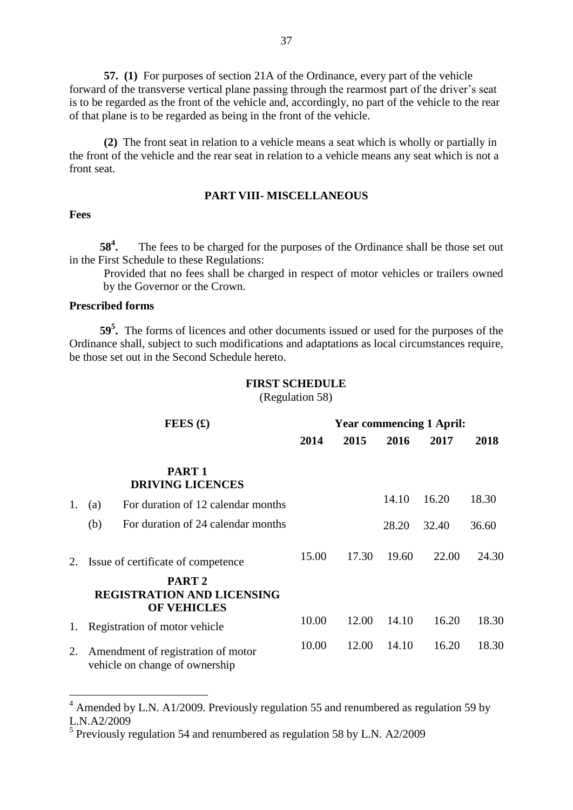**57. (1)** For purposes of section 21A of the Ordinance, every part of the vehicle forward of the transverse vertical plane passing through the rearmost part of the driver's seat is to be regarded as the front of the vehicle and, accordingly, no part of the vehicle to the rear of that plane is to be regarded as being in the front of the vehicle.

**(2)** The front seat in relation to a vehicle means a seat which is wholly or partially in the front of the vehicle and the rear seat in relation to a vehicle means any seat which is not a front seat.

### **PART VIII- MISCELLANEOUS**

#### **Fees**

<u>.</u>

**58 4 .** The fees to be charged for the purposes of the Ordinance shall be those set out in the First Schedule to these Regulations:

Provided that no fees shall be charged in respect of motor vehicles or trailers owned by the Governor or the Crown.

### **Prescribed forms**

**59 5 .** The forms of licences and other documents issued or used for the purposes of the Ordinance shall, subject to such modifications and adaptations as local circumstances require, be those set out in the Second Schedule hereto.

#### **FIRST SCHEDULE**

(Regulation 58)

| FEES $(\pounds)$ |                                                                              | <b>Year commencing 1 April:</b> |       |       |       |       |  |
|------------------|------------------------------------------------------------------------------|---------------------------------|-------|-------|-------|-------|--|
|                  |                                                                              | 2014                            | 2015  | 2016  | 2017  | 2018  |  |
|                  | PART <sub>1</sub><br><b>DRIVING LICENCES</b>                                 |                                 |       |       |       |       |  |
| 1.               | For duration of 12 calendar months<br>(a)                                    |                                 |       | 14.10 | 16.20 | 18.30 |  |
|                  | (b)<br>For duration of 24 calendar months                                    |                                 |       | 28.20 | 32.40 | 36.60 |  |
| 2.               | Issue of certificate of competence                                           | 15.00                           | 17.30 | 19.60 | 22.00 | 24.30 |  |
|                  | PART <sub>2</sub><br><b>REGISTRATION AND LICENSING</b><br><b>OF VEHICLES</b> |                                 |       |       |       |       |  |
| 1.               | Registration of motor vehicle                                                | 10.00                           | 12.00 | 14.10 | 16.20 | 18.30 |  |
| 2.               | Amendment of registration of motor<br>vehicle on change of ownership         | 10.00                           | 12.00 | 14.10 | 16.20 | 18.30 |  |

 $4$  Amended by L.N. A1/2009. Previously regulation 55 and renumbered as regulation 59 by L.N.A2/2009

<sup>&</sup>lt;sup>5</sup> Previously regulation 54 and renumbered as regulation 58 by L.N. A2/2009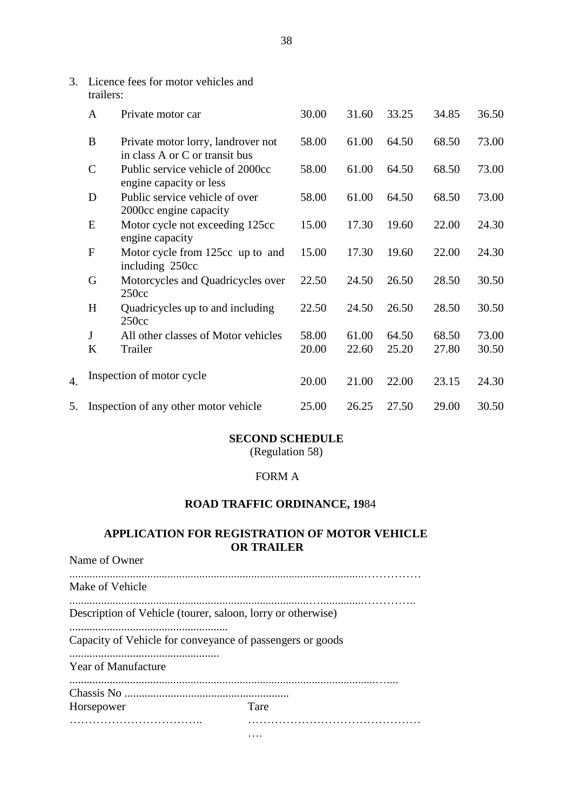3. Licence fees for motor vehicles and trailers:

|             | A             | Private motor car                                                    | 30.00 | 31.60 | 33.25 | 34.85 | 36.50 |
|-------------|---------------|----------------------------------------------------------------------|-------|-------|-------|-------|-------|
|             | B             | Private motor lorry, landrover not<br>in class A or C or transit bus | 58.00 | 61.00 | 64.50 | 68.50 | 73.00 |
|             | $\mathcal{C}$ | Public service vehicle of 2000cc<br>engine capacity or less          | 58.00 | 61.00 | 64.50 | 68.50 | 73.00 |
|             | D             | Public service vehicle of over<br>2000cc engine capacity             | 58.00 | 61.00 | 64.50 | 68.50 | 73.00 |
|             | E             | Motor cycle not exceeding 125cc<br>engine capacity                   | 15.00 | 17.30 | 19.60 | 22.00 | 24.30 |
|             | ${\bf F}$     | Motor cycle from 125cc up to and<br>including 250cc                  | 15.00 | 17.30 | 19.60 | 22.00 | 24.30 |
|             | G             | Motorcycles and Quadricycles over<br>250cc                           | 22.50 | 24.50 | 26.50 | 28.50 | 30.50 |
|             | H             | Quadricycles up to and including<br>250cc                            | 22.50 | 24.50 | 26.50 | 28.50 | 30.50 |
|             | J             | All other classes of Motor vehicles                                  | 58.00 | 61.00 | 64.50 | 68.50 | 73.00 |
|             | K             | Trailer                                                              | 20.00 | 22.60 | 25.20 | 27.80 | 30.50 |
| $\mathbf 4$ |               | Inspection of motor cycle                                            | 20.00 | 21.00 | 22.00 | 23.15 | 24.30 |
| 5.          |               | Inspection of any other motor vehicle                                | 25.00 | 26.25 | 27.50 | 29.00 | 30.50 |

### **SECOND SCHEDULE**

(Regulation 58)

# FORM A

### **ROAD TRAFFIC ORDINANCE, 19**84

### **APPLICATION FOR REGISTRATION OF MOTOR VEHICLE OR TRAILER**

Name of Owner ......................................................................................................…………… Make of Vehicle ...................................................................................…...............………….. Description of Vehicle (tourer, saloon, lorry or otherwise) ....................................................... Capacity of Vehicle for conveyance of passengers or goods .................................................... Year of Manufacture ..........................................................................................................….... Chassis No ......................................................... Horsepower …………………………….. Tare ……………………………………… ….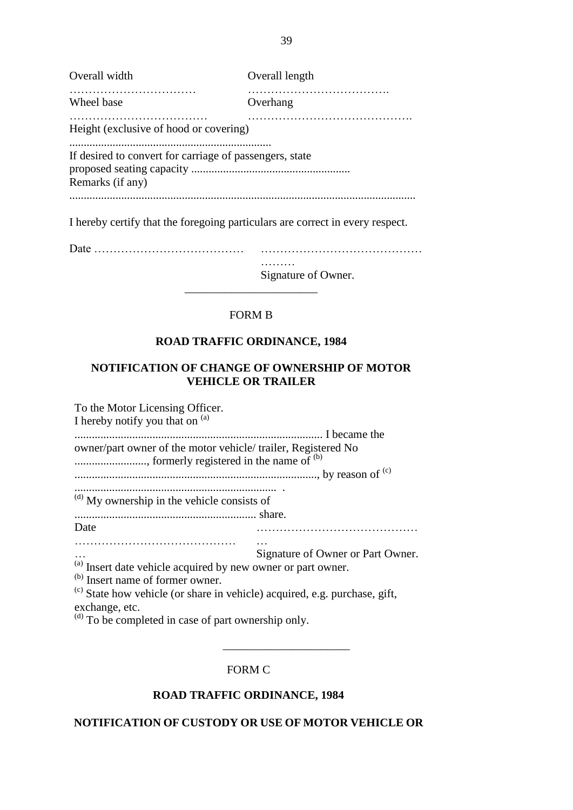| Overall width                                                               | Overall length |  |  |  |  |
|-----------------------------------------------------------------------------|----------------|--|--|--|--|
| Wheel base                                                                  | Overhang       |  |  |  |  |
| Height (exclusive of hood or covering)                                      |                |  |  |  |  |
| If desired to convert for carriage of passengers, state<br>Remarks (if any) |                |  |  |  |  |

I hereby certify that the foregoing particulars are correct in every respect.

Date ………………………………… ……………………………………

Signature of Owner.

### FORM B

\_\_\_\_\_\_\_\_\_\_\_\_\_\_\_\_\_\_\_\_\_\_\_

### **ROAD TRAFFIC ORDINANCE, 1984**

### **NOTIFICATION OF CHANGE OF OWNERSHIP OF MOTOR VEHICLE OR TRAILER**

To the Motor Licensing Officer. I hereby notify you that on  $(a)$ ...................................................................................... I became the owner/part owner of the motor vehicle/ trailer, Registered No ........................., formerly registered in the name of (b) ...................................................................................., by reason of (c) ...................................................................... .  $^{(d)}$  My ownership in the vehicle consists of ............................................................... share. **Date** …………………………………… … Signature of Owner or Part Owner. <sup>(a)</sup> Insert date vehicle acquired by new owner or part owner. (b) Insert name of former owner.  $(0)$  State how vehicle (or share in vehicle) acquired, e.g. purchase, gift, exchange, etc.  $^{(d)}$  To be completed in case of part ownership only.

#### FORM C

\_\_\_\_\_\_\_\_\_\_\_\_\_\_\_\_\_\_\_\_\_\_

### **ROAD TRAFFIC ORDINANCE, 1984**

### **NOTIFICATION OF CUSTODY OR USE OF MOTOR VEHICLE OR**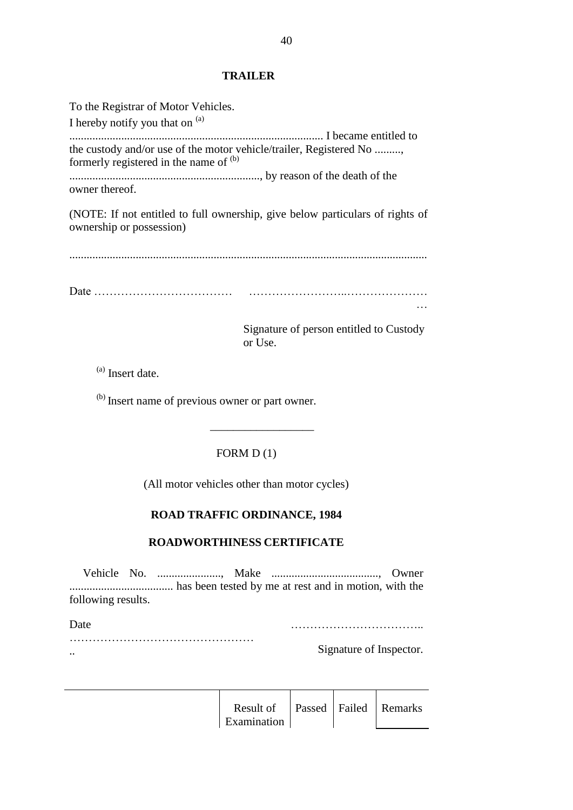### **TRAILER**

To the Registrar of Motor Vehicles. I hereby notify you that on  $(a)$ ........................................................................................ I became entitled to the custody and/or use of the motor vehicle/trailer, Registered No ........., formerly registered in the name of  $^{(b)}$ .................................................................., by reason of the death of the owner thereof.

(NOTE: If not entitled to full ownership, give below particulars of rights of ownership or possession)

............................................................................................................................

Date ……………………………… ……………………..…………………

Signature of person entitled to Custody or Use.

…

(a) Insert date.

…………………………………………

..

(b) Insert name of previous owner or part owner.

### FORM D(1)

\_\_\_\_\_\_\_\_\_\_\_\_\_\_\_\_\_\_

(All motor vehicles other than motor cycles)

### **ROAD TRAFFIC ORDINANCE, 1984**

### **ROADWORTHINESS CERTIFICATE**

Vehicle No. ......................, Make ....................................., Owner .................................... has been tested by me at rest and in motion, with the following results.

Date ……………………………………

Signature of Inspector.

| Result of   Passed   Failed   Remarks |  |  |
|---------------------------------------|--|--|
| <b>Examination</b>                    |  |  |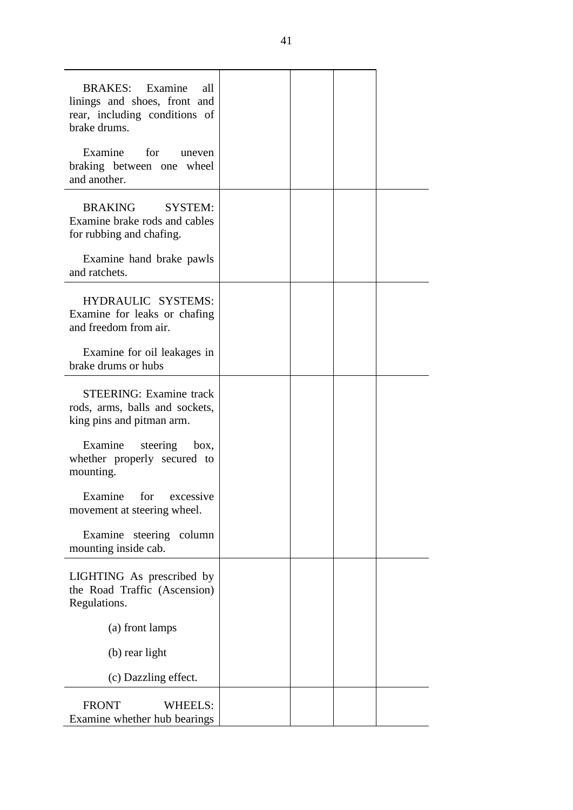| <b>BRAKES:</b> Examine<br>all<br>linings and shoes, front and<br>rear, including conditions of<br>brake drums. |  |  |
|----------------------------------------------------------------------------------------------------------------|--|--|
| Examine<br>for<br>uneven<br>braking between one wheel<br>and another.                                          |  |  |
| <b>BRAKING</b><br><b>SYSTEM:</b><br>Examine brake rods and cables<br>for rubbing and chafing.                  |  |  |
| Examine hand brake pawls<br>and ratchets.                                                                      |  |  |
| HYDRAULIC SYSTEMS:<br>Examine for leaks or chafing<br>and freedom from air.                                    |  |  |
| Examine for oil leakages in<br>brake drums or hubs                                                             |  |  |
| <b>STEERING: Examine track</b><br>rods, arms, balls and sockets,<br>king pins and pitman arm.                  |  |  |
| Examine<br>steering<br>box,<br>whether properly secured to<br>mounting.                                        |  |  |
| Examine<br>for<br>excessive<br>movement at steering wheel.                                                     |  |  |
| Examine steering column<br>mounting inside cab.                                                                |  |  |
| LIGHTING As prescribed by<br>the Road Traffic (Ascension)<br>Regulations.                                      |  |  |
| (a) front lamps                                                                                                |  |  |
| (b) rear light                                                                                                 |  |  |
| (c) Dazzling effect.                                                                                           |  |  |
| WHEELS:<br><b>FRONT</b><br>Examine whether hub bearings                                                        |  |  |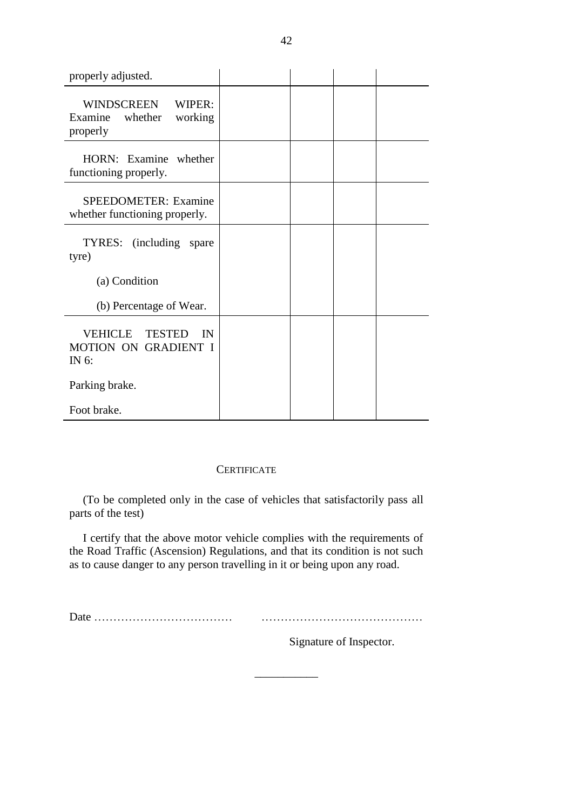| properly adjusted.                                                |  |  |
|-------------------------------------------------------------------|--|--|
| WINDSCREEN<br>WIPER:<br>Examine<br>whether<br>working<br>properly |  |  |
| HORN: Examine whether<br>functioning properly.                    |  |  |
| <b>SPEEDOMETER: Examine</b><br>whether functioning properly.      |  |  |
| TYRES: (including spare)<br>tyre)                                 |  |  |
| (a) Condition                                                     |  |  |
| (b) Percentage of Wear.                                           |  |  |
| VEHICLE<br><b>TESTED</b><br>IN<br>MOTION ON GRADIENT I<br>IN 6:   |  |  |
| Parking brake.                                                    |  |  |
| Foot brake.                                                       |  |  |

# **CERTIFICATE**

(To be completed only in the case of vehicles that satisfactorily pass all parts of the test)

I certify that the above motor vehicle complies with the requirements of the Road Traffic (Ascension) Regulations, and that its condition is not such as to cause danger to any person travelling in it or being upon any road.

Date ……………………………… ……………………………………

\_\_\_\_\_\_\_\_\_\_\_

Signature of Inspector.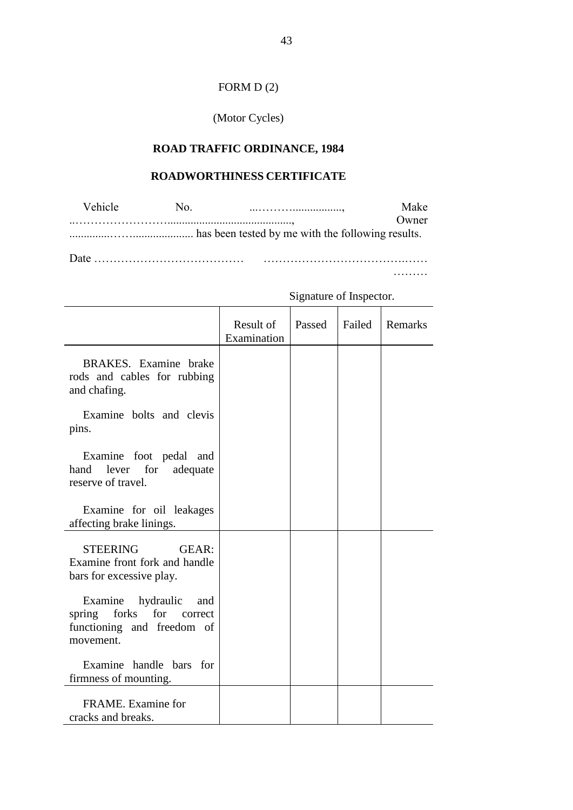# FORM D (2)

# (Motor Cycles)

# **ROAD TRAFFIC ORDINANCE, 1984**

# **ROADWORTHINESS CERTIFICATE**

| Vehicle | No. | Make  |
|---------|-----|-------|
|         |     | Owner |
|         |     |       |
|         |     |       |
| Date    |     |       |

………

Signature of Inspector.

|                                                                                                          | Result of<br>Examination | Passed | Failed | Remarks |
|----------------------------------------------------------------------------------------------------------|--------------------------|--------|--------|---------|
| BRAKES. Examine brake<br>rods and cables for rubbing<br>and chafing.                                     |                          |        |        |         |
| Examine bolts and clevis<br>pins.                                                                        |                          |        |        |         |
| Examine foot pedal and<br>hand lever<br>for<br>adequate<br>reserve of travel.                            |                          |        |        |         |
| Examine for oil leakages<br>affecting brake linings.                                                     |                          |        |        |         |
| <b>STEERING</b><br>GEAR:<br>Examine front fork and handle<br>bars for excessive play.                    |                          |        |        |         |
| Examine hydraulic<br>and<br>spring<br>forks<br>for<br>correct<br>functioning and freedom of<br>movement. |                          |        |        |         |
| Examine handle bars for<br>firmness of mounting.                                                         |                          |        |        |         |
| FRAME. Examine for<br>cracks and breaks.                                                                 |                          |        |        |         |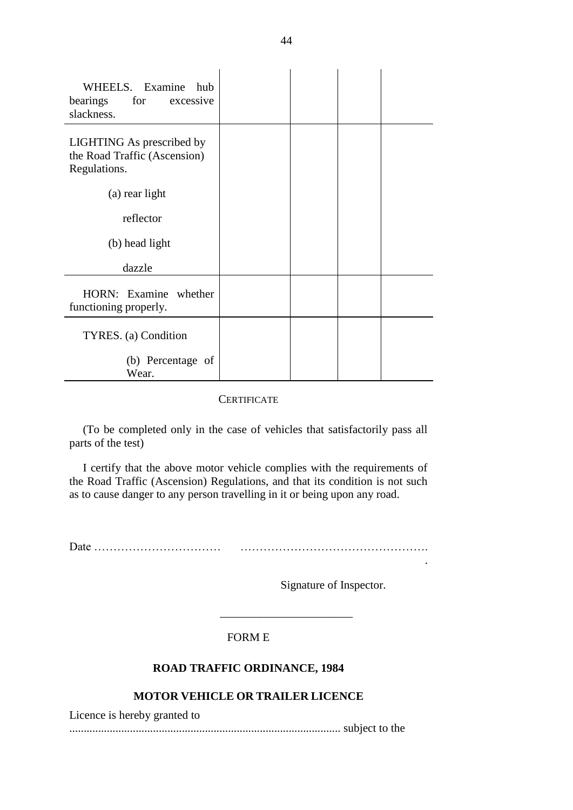| WHEELS. Examine<br>hub<br>bearings<br>for<br>excessive<br>slackness.             |  |  |
|----------------------------------------------------------------------------------|--|--|
| <b>LIGHTING</b> As prescribed by<br>the Road Traffic (Ascension)<br>Regulations. |  |  |
| (a) rear light                                                                   |  |  |
| reflector                                                                        |  |  |
| (b) head light                                                                   |  |  |
| dazzle                                                                           |  |  |
| HORN: Examine whether<br>functioning properly.                                   |  |  |
| TYRES. (a) Condition                                                             |  |  |
| (b) Percentage of<br>Wear.                                                       |  |  |

#### **CERTIFICATE**

(To be completed only in the case of vehicles that satisfactorily pass all parts of the test)

I certify that the above motor vehicle complies with the requirements of the Road Traffic (Ascension) Regulations, and that its condition is not such as to cause danger to any person travelling in it or being upon any road.

Date …………………………… ………………………………………….

Signature of Inspector.

.

### FORM E

\_\_\_\_\_\_\_\_\_\_\_\_\_\_\_\_\_\_\_\_\_\_\_

# **ROAD TRAFFIC ORDINANCE, 1984**

# **MOTOR VEHICLE OR TRAILER LICENCE**

Licence is hereby granted to

.............................................................................................. subject to the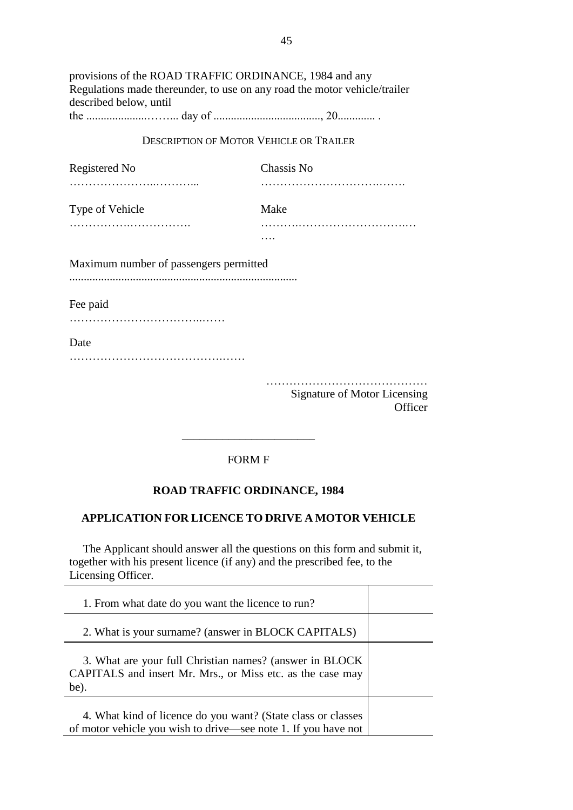| described below, until                 | provisions of the ROAD TRAFFIC ORDINANCE, 1984 and any<br>Regulations made thereunder, to use on any road the motor vehicle/trailer |  |  |  |  |  |  |
|----------------------------------------|-------------------------------------------------------------------------------------------------------------------------------------|--|--|--|--|--|--|
|                                        |                                                                                                                                     |  |  |  |  |  |  |
|                                        | <b>DESCRIPTION OF MOTOR VEHICLE OR TRAILER</b>                                                                                      |  |  |  |  |  |  |
| Registered No<br>Chassis No            |                                                                                                                                     |  |  |  |  |  |  |
| Type of Vehicle                        | Make                                                                                                                                |  |  |  |  |  |  |
|                                        |                                                                                                                                     |  |  |  |  |  |  |
| Maximum number of passengers permitted |                                                                                                                                     |  |  |  |  |  |  |
| Fee paid                               |                                                                                                                                     |  |  |  |  |  |  |
| Date                                   |                                                                                                                                     |  |  |  |  |  |  |
|                                        |                                                                                                                                     |  |  |  |  |  |  |
|                                        | <b>Signature of Motor Licensing</b><br>Officer                                                                                      |  |  |  |  |  |  |

# FORM F

\_\_\_\_\_\_\_\_\_\_\_\_\_\_\_\_\_\_\_\_\_\_\_

# **ROAD TRAFFIC ORDINANCE, 1984**

# **APPLICATION FOR LICENCE TO DRIVE A MOTOR VEHICLE**

The Applicant should answer all the questions on this form and submit it, together with his present licence (if any) and the prescribed fee, to the Licensing Officer.

 $\mathbf{T}$ 

| 1. From what date do you want the licence to run?                                                                              |  |
|--------------------------------------------------------------------------------------------------------------------------------|--|
| 2. What is your surname? (answer in BLOCK CAPITALS)                                                                            |  |
| 3. What are your full Christian names? (answer in BLOCK)<br>CAPITALS and insert Mr. Mrs., or Miss etc. as the case may<br>be). |  |
| 4. What kind of licence do you want? (State class or classes<br>of motor vehicle you wish to drive—see note 1. If you have not |  |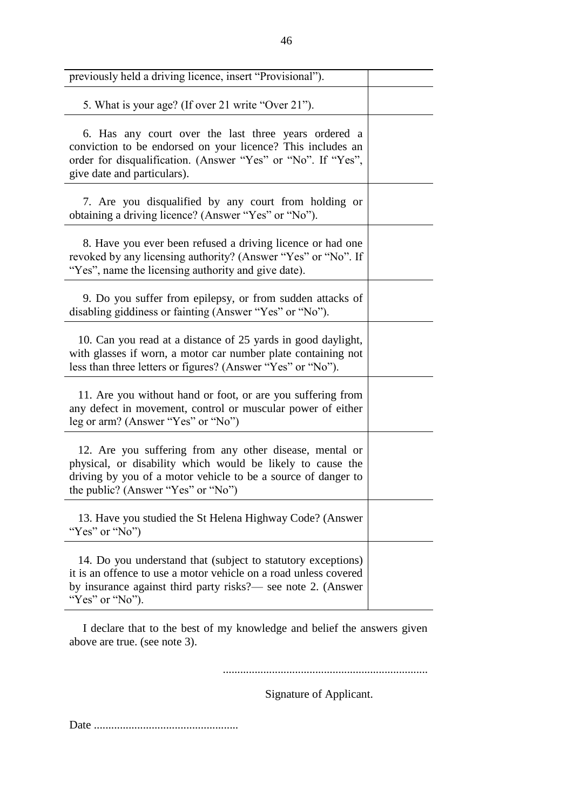| previously held a driving licence, insert "Provisional").                                                                                                                                                                    |  |
|------------------------------------------------------------------------------------------------------------------------------------------------------------------------------------------------------------------------------|--|
| 5. What is your age? (If over 21 write "Over 21").                                                                                                                                                                           |  |
| 6. Has any court over the last three years ordered a<br>conviction to be endorsed on your licence? This includes an<br>order for disqualification. (Answer "Yes" or "No". If "Yes",<br>give date and particulars).           |  |
| 7. Are you disqualified by any court from holding or<br>obtaining a driving licence? (Answer "Yes" or "No").                                                                                                                 |  |
| 8. Have you ever been refused a driving licence or had one<br>revoked by any licensing authority? (Answer "Yes" or "No". If<br>"Yes", name the licensing authority and give date).                                           |  |
| 9. Do you suffer from epilepsy, or from sudden attacks of<br>disabling giddiness or fainting (Answer "Yes" or "No").                                                                                                         |  |
| 10. Can you read at a distance of 25 yards in good daylight,<br>with glasses if worn, a motor car number plate containing not<br>less than three letters or figures? (Answer "Yes" or "No").                                 |  |
| 11. Are you without hand or foot, or are you suffering from<br>any defect in movement, control or muscular power of either<br>leg or arm? (Answer "Yes" or "No")                                                             |  |
| 12. Are you suffering from any other disease, mental or<br>physical, or disability which would be likely to cause the<br>driving by you of a motor vehicle to be a source of danger to<br>the public? (Answer "Yes" or "No") |  |
| 13. Have you studied the St Helena Highway Code? (Answer<br>"Yes" or "No")                                                                                                                                                   |  |
| 14. Do you understand that (subject to statutory exceptions)<br>it is an offence to use a motor vehicle on a road unless covered<br>by insurance against third party risks?— see note 2. (Answer<br>"Yes" or "No").          |  |

I declare that to the best of my knowledge and belief the answers given above are true. (see note 3).

.......................................................................

Signature of Applicant.

Date ..................................................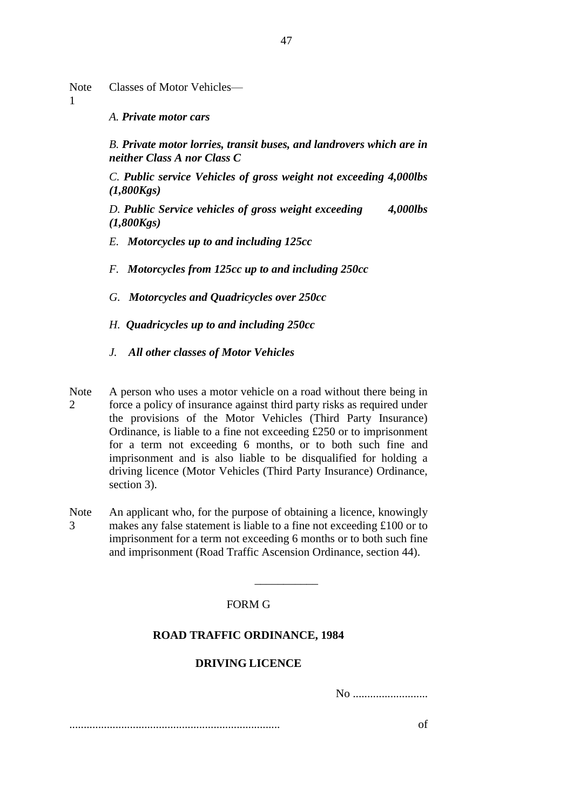Note Classes of Motor Vehicles—

1

*A. Private motor cars*

*B. Private motor lorries, transit buses, and landrovers which are in neither Class A nor Class C*

47

*C. Public service Vehicles of gross weight not exceeding 4,000lbs (1,800Kgs)*

*D. Public Service vehicles of gross weight exceeding 4,000lbs (1,800Kgs)* 

*E. Motorcycles up to and including 125cc*

*F. Motorcycles from 125cc up to and including 250cc*

*G. Motorcycles and Quadricycles over 250cc*

*H. Quadricycles up to and including 250cc*

*J. All other classes of Motor Vehicles*

- Note 2 A person who uses a motor vehicle on a road without there being in force a policy of insurance against third party risks as required under the provisions of the Motor Vehicles (Third Party Insurance) Ordinance, is liable to a fine not exceeding £250 or to imprisonment for a term not exceeding 6 months, or to both such fine and imprisonment and is also liable to be disqualified for holding a driving licence (Motor Vehicles (Third Party Insurance) Ordinance, section 3).
- Note 3 An applicant who, for the purpose of obtaining a licence, knowingly makes any false statement is liable to a fine not exceeding £100 or to imprisonment for a term not exceeding 6 months or to both such fine and imprisonment (Road Traffic Ascension Ordinance, section 44).

# FORM G

 $\overline{\phantom{a}}$ 

### **ROAD TRAFFIC ORDINANCE, 1984**

# **DRIVING LICENCE**

No ..........................

......................................................................... of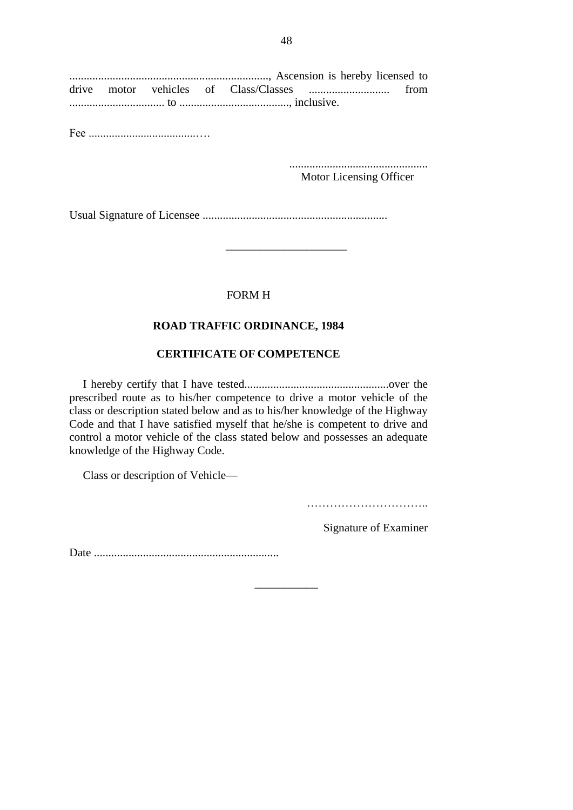....................................................................., Ascension is hereby licensed to drive motor vehicles of Class/Classes ............................ from ................................. to ......................................, inclusive.

Fee .....................................….

................................................

Motor Licensing Officer

Usual Signature of Licensee ................................................................

### FORM H

### **ROAD TRAFFIC ORDINANCE, 1984**

### **CERTIFICATE OF COMPETENCE**

I hereby certify that I have tested..................................................over the prescribed route as to his/her competence to drive a motor vehicle of the class or description stated below and as to his/her knowledge of the Highway Code and that I have satisfied myself that he/she is competent to drive and control a motor vehicle of the class stated below and possesses an adequate knowledge of the Highway Code.

Class or description of Vehicle—

…………………………..

Signature of Examiner

Date ................................................................

\_\_\_\_\_\_\_\_\_\_\_\_\_\_\_\_\_\_\_\_\_

\_\_\_\_\_\_\_\_\_\_\_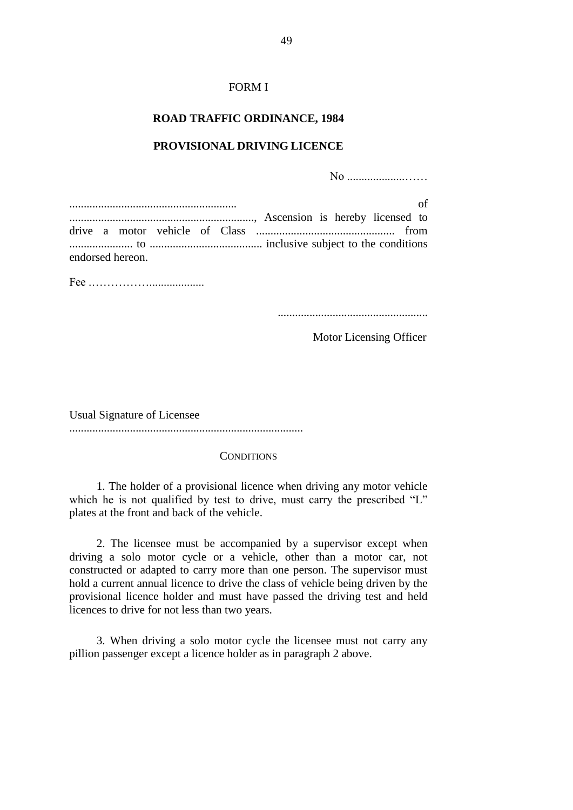### FORM I

### **ROAD TRAFFIC ORDINANCE, 1984**

### **PROVISIONAL DRIVING LICENCE**

No ....................……

|  | endorsed hereon. |  |  |  |  |
|--|------------------|--|--|--|--|

Fee .……………...................

....................................................

Motor Licensing Officer

Usual Signature of Licensee .................................................................................

**CONDITIONS** 

1. The holder of a provisional licence when driving any motor vehicle which he is not qualified by test to drive, must carry the prescribed "L" plates at the front and back of the vehicle.

2. The licensee must be accompanied by a supervisor except when driving a solo motor cycle or a vehicle, other than a motor car, not constructed or adapted to carry more than one person. The supervisor must hold a current annual licence to drive the class of vehicle being driven by the provisional licence holder and must have passed the driving test and held licences to drive for not less than two years.

3. When driving a solo motor cycle the licensee must not carry any pillion passenger except a licence holder as in paragraph 2 above.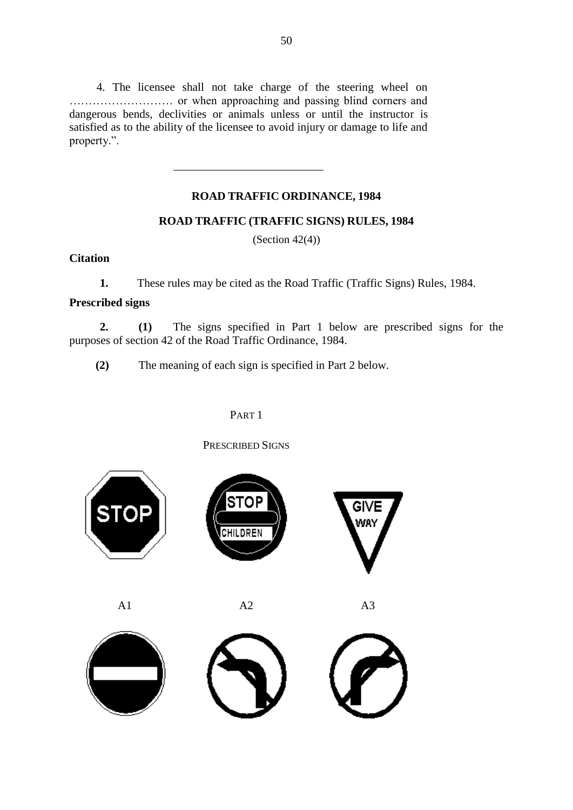4. The licensee shall not take charge of the steering wheel on ……………………… or when approaching and passing blind corners and dangerous bends, declivities or animals unless or until the instructor is satisfied as to the ability of the licensee to avoid injury or damage to life and property.".

\_\_\_\_\_\_\_\_\_\_\_\_\_\_\_\_\_\_\_\_\_\_\_\_\_\_

# **ROAD TRAFFIC ORDINANCE, 1984**

### **ROAD TRAFFIC (TRAFFIC SIGNS) RULES, 1984**

 $(Section 42(4))$ 

# **Citation**

**1.** These rules may be cited as the Road Traffic (Traffic Signs) Rules, 1984.

### **Prescribed signs**

**2. (1)** The signs specified in Part 1 below are prescribed signs for the purposes of section 42 of the Road Traffic Ordinance, 1984.

**(2)** The meaning of each sign is specified in Part 2 below.

### PART<sub>1</sub>

PRESCRIBED SIGNS

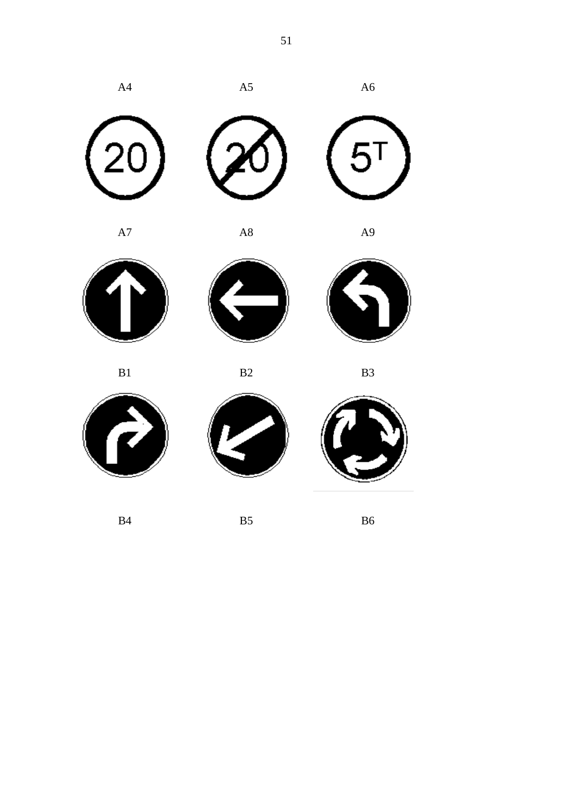









 $B1$  B2 B3







 $B4$  B5 B6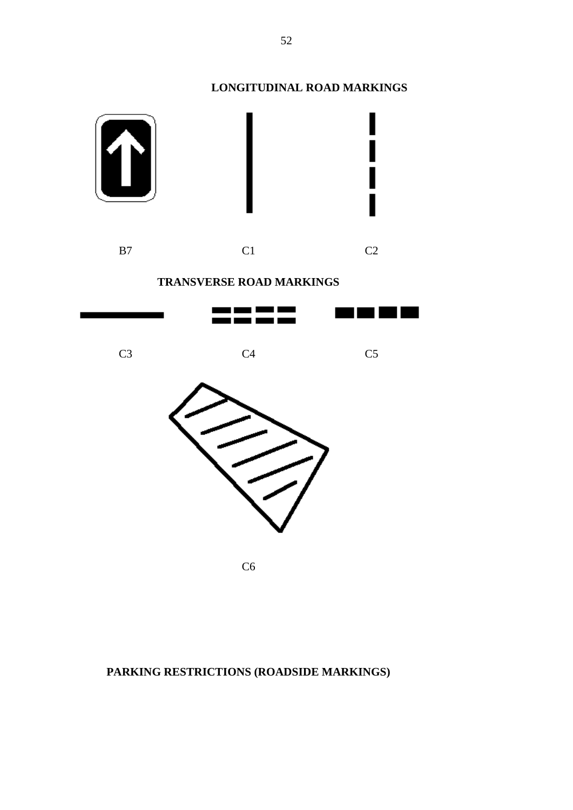**LONGITUDINAL ROAD MARKINGS**



# **TRANSVERSE ROAD MARKINGS**



# **PARKING RESTRICTIONS (ROADSIDE MARKINGS)**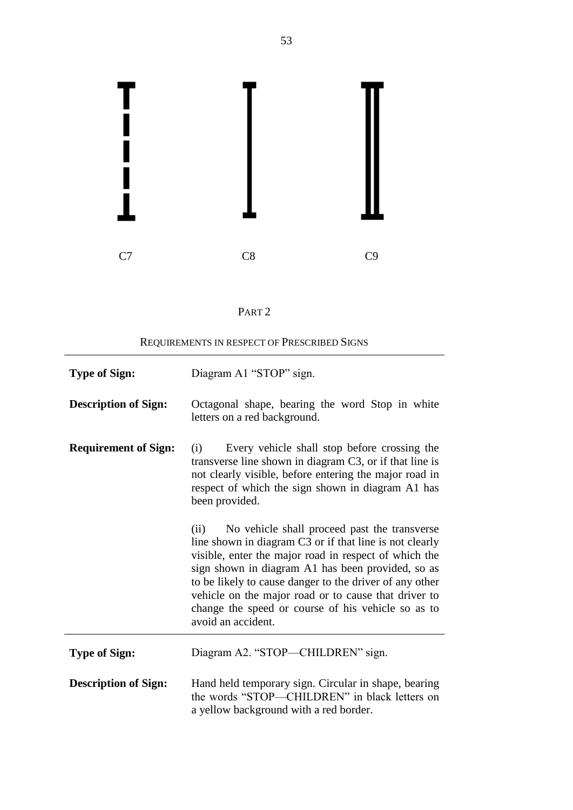



REQUIREMENTS IN RESPECT OF PRESCRIBED SIGNS

| <b>Type of Sign:</b>        | Diagram A1 "STOP" sign.                                                                                                                                                                                                                                                                                                                                                                                                      |  |  |
|-----------------------------|------------------------------------------------------------------------------------------------------------------------------------------------------------------------------------------------------------------------------------------------------------------------------------------------------------------------------------------------------------------------------------------------------------------------------|--|--|
| <b>Description of Sign:</b> | Octagonal shape, bearing the word Stop in white<br>letters on a red background.                                                                                                                                                                                                                                                                                                                                              |  |  |
| <b>Requirement of Sign:</b> | (i)<br>Every vehicle shall stop before crossing the<br>transverse line shown in diagram C3, or if that line is<br>not clearly visible, before entering the major road in<br>respect of which the sign shown in diagram A1 has<br>been provided.                                                                                                                                                                              |  |  |
|                             | No vehicle shall proceed past the transverse<br>(ii)<br>line shown in diagram C3 or if that line is not clearly<br>visible, enter the major road in respect of which the<br>sign shown in diagram A1 has been provided, so as<br>to be likely to cause danger to the driver of any other<br>vehicle on the major road or to cause that driver to<br>change the speed or course of his vehicle so as to<br>avoid an accident. |  |  |
| <b>Type of Sign:</b>        | Diagram A2. "STOP—CHILDREN" sign.                                                                                                                                                                                                                                                                                                                                                                                            |  |  |
| <b>Description of Sign:</b> | Hand held temporary sign. Circular in shape, bearing<br>the words "STOP—CHILDREN" in black letters on<br>a yellow background with a red border.                                                                                                                                                                                                                                                                              |  |  |

53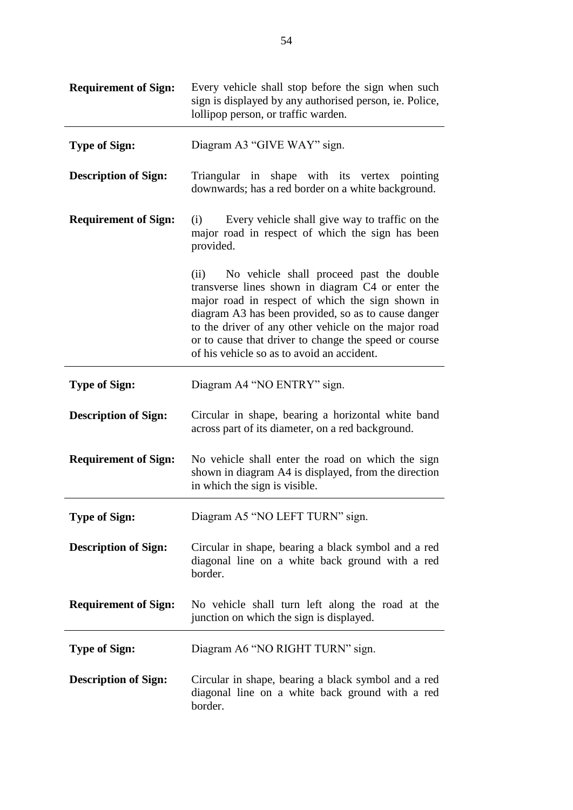| <b>Requirement of Sign:</b> | Every vehicle shall stop before the sign when such<br>sign is displayed by any authorised person, ie. Police,<br>lollipop person, or traffic warden.                                                                                                                                                                                                                            |
|-----------------------------|---------------------------------------------------------------------------------------------------------------------------------------------------------------------------------------------------------------------------------------------------------------------------------------------------------------------------------------------------------------------------------|
| <b>Type of Sign:</b>        | Diagram A3 "GIVE WAY" sign.                                                                                                                                                                                                                                                                                                                                                     |
| <b>Description of Sign:</b> | Triangular in shape with its vertex pointing<br>downwards; has a red border on a white background.                                                                                                                                                                                                                                                                              |
| <b>Requirement of Sign:</b> | Every vehicle shall give way to traffic on the<br>(i)<br>major road in respect of which the sign has been<br>provided.                                                                                                                                                                                                                                                          |
|                             | No vehicle shall proceed past the double<br>(ii)<br>transverse lines shown in diagram C4 or enter the<br>major road in respect of which the sign shown in<br>diagram A3 has been provided, so as to cause danger<br>to the driver of any other vehicle on the major road<br>or to cause that driver to change the speed or course<br>of his vehicle so as to avoid an accident. |
| <b>Type of Sign:</b>        | Diagram A4 "NO ENTRY" sign.                                                                                                                                                                                                                                                                                                                                                     |
| <b>Description of Sign:</b> | Circular in shape, bearing a horizontal white band<br>across part of its diameter, on a red background.                                                                                                                                                                                                                                                                         |
| <b>Requirement of Sign:</b> | No vehicle shall enter the road on which the sign<br>shown in diagram A4 is displayed, from the direction<br>in which the sign is visible.                                                                                                                                                                                                                                      |
| <b>Type of Sign:</b>        | Diagram A5 "NO LEFT TURN" sign.                                                                                                                                                                                                                                                                                                                                                 |
| <b>Description of Sign:</b> | Circular in shape, bearing a black symbol and a red<br>diagonal line on a white back ground with a red<br>border.                                                                                                                                                                                                                                                               |
| <b>Requirement of Sign:</b> | No vehicle shall turn left along the road at the<br>junction on which the sign is displayed.                                                                                                                                                                                                                                                                                    |
| <b>Type of Sign:</b>        | Diagram A6 "NO RIGHT TURN" sign.                                                                                                                                                                                                                                                                                                                                                |
| <b>Description of Sign:</b> | Circular in shape, bearing a black symbol and a red<br>diagonal line on a white back ground with a red<br>border.                                                                                                                                                                                                                                                               |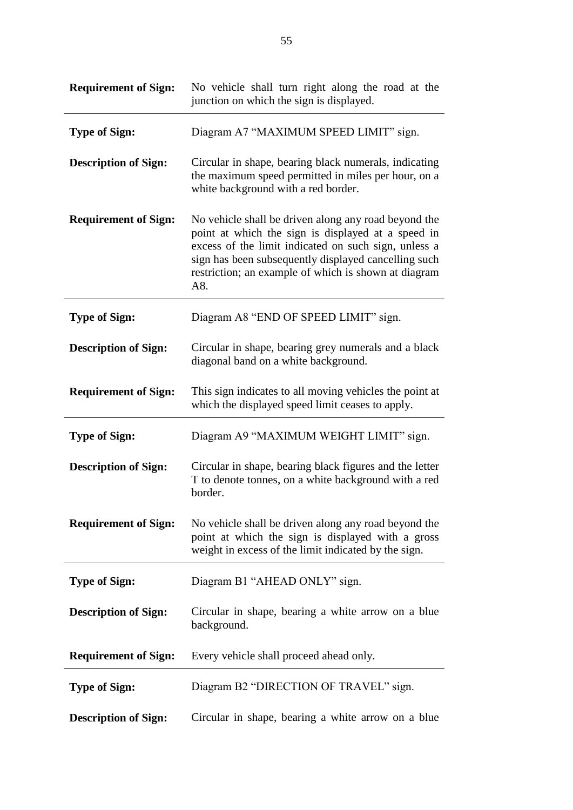| <b>Requirement of Sign:</b> | No vehicle shall turn right along the road at the<br>junction on which the sign is displayed.                                                                                                                                                                                             |
|-----------------------------|-------------------------------------------------------------------------------------------------------------------------------------------------------------------------------------------------------------------------------------------------------------------------------------------|
| <b>Type of Sign:</b>        | Diagram A7 "MAXIMUM SPEED LIMIT" sign.                                                                                                                                                                                                                                                    |
| <b>Description of Sign:</b> | Circular in shape, bearing black numerals, indicating<br>the maximum speed permitted in miles per hour, on a<br>white background with a red border.                                                                                                                                       |
| <b>Requirement of Sign:</b> | No vehicle shall be driven along any road beyond the<br>point at which the sign is displayed at a speed in<br>excess of the limit indicated on such sign, unless a<br>sign has been subsequently displayed cancelling such<br>restriction; an example of which is shown at diagram<br>A8. |
| <b>Type of Sign:</b>        | Diagram A8 "END OF SPEED LIMIT" sign.                                                                                                                                                                                                                                                     |
| <b>Description of Sign:</b> | Circular in shape, bearing grey numerals and a black<br>diagonal band on a white background.                                                                                                                                                                                              |
| <b>Requirement of Sign:</b> | This sign indicates to all moving vehicles the point at<br>which the displayed speed limit ceases to apply.                                                                                                                                                                               |
| <b>Type of Sign:</b>        | Diagram A9 "MAXIMUM WEIGHT LIMIT" sign.                                                                                                                                                                                                                                                   |
| <b>Description of Sign:</b> | Circular in shape, bearing black figures and the letter<br>T to denote tonnes, on a white background with a red<br>border.                                                                                                                                                                |
| <b>Requirement of Sign:</b> | No vehicle shall be driven along any road beyond the<br>point at which the sign is displayed with a gross<br>weight in excess of the limit indicated by the sign.                                                                                                                         |
| <b>Type of Sign:</b>        | Diagram B1 "AHEAD ONLY" sign.                                                                                                                                                                                                                                                             |
| <b>Description of Sign:</b> | Circular in shape, bearing a white arrow on a blue<br>background.                                                                                                                                                                                                                         |
| <b>Requirement of Sign:</b> | Every vehicle shall proceed ahead only.                                                                                                                                                                                                                                                   |
| <b>Type of Sign:</b>        | Diagram B2 "DIRECTION OF TRAVEL" sign.                                                                                                                                                                                                                                                    |
| <b>Description of Sign:</b> | Circular in shape, bearing a white arrow on a blue                                                                                                                                                                                                                                        |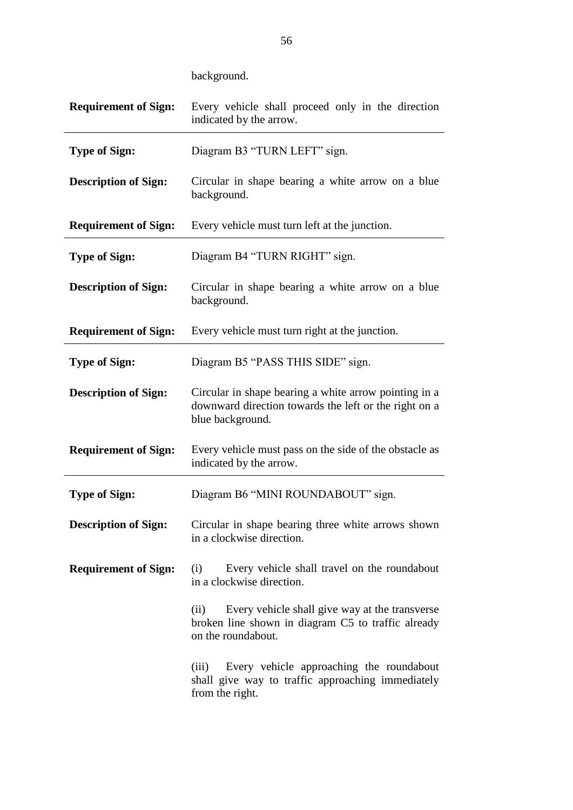background.

| <b>Requirement of Sign:</b> | Every vehicle shall proceed only in the direction<br>indicated by the arrow.                                                       |  |  |
|-----------------------------|------------------------------------------------------------------------------------------------------------------------------------|--|--|
| <b>Type of Sign:</b>        | Diagram B3 "TURN LEFT" sign.                                                                                                       |  |  |
| <b>Description of Sign:</b> | Circular in shape bearing a white arrow on a blue<br>background.                                                                   |  |  |
| <b>Requirement of Sign:</b> | Every vehicle must turn left at the junction.                                                                                      |  |  |
| <b>Type of Sign:</b>        | Diagram B4 "TURN RIGHT" sign.                                                                                                      |  |  |
| <b>Description of Sign:</b> | Circular in shape bearing a white arrow on a blue<br>background.                                                                   |  |  |
| <b>Requirement of Sign:</b> | Every vehicle must turn right at the junction.                                                                                     |  |  |
| <b>Type of Sign:</b>        | Diagram B5 "PASS THIS SIDE" sign.                                                                                                  |  |  |
| <b>Description of Sign:</b> | Circular in shape bearing a white arrow pointing in a<br>downward direction towards the left or the right on a<br>blue background. |  |  |
| <b>Requirement of Sign:</b> | Every vehicle must pass on the side of the obstacle as<br>indicated by the arrow.                                                  |  |  |
| <b>Type of Sign:</b>        | Diagram B6 "MINI ROUNDABOUT" sign.                                                                                                 |  |  |
| <b>Description of Sign:</b> | Circular in shape bearing three white arrows shown<br>in a clockwise direction.                                                    |  |  |
| <b>Requirement of Sign:</b> | Every vehicle shall travel on the roundabout<br>(i)<br>in a clockwise direction.                                                   |  |  |
|                             | Every vehicle shall give way at the transverse<br>(ii)<br>broken line shown in diagram C5 to traffic already<br>on the roundabout. |  |  |
|                             | Every vehicle approaching the roundabout<br>(iii)<br>shall give way to traffic approaching immediately<br>from the right.          |  |  |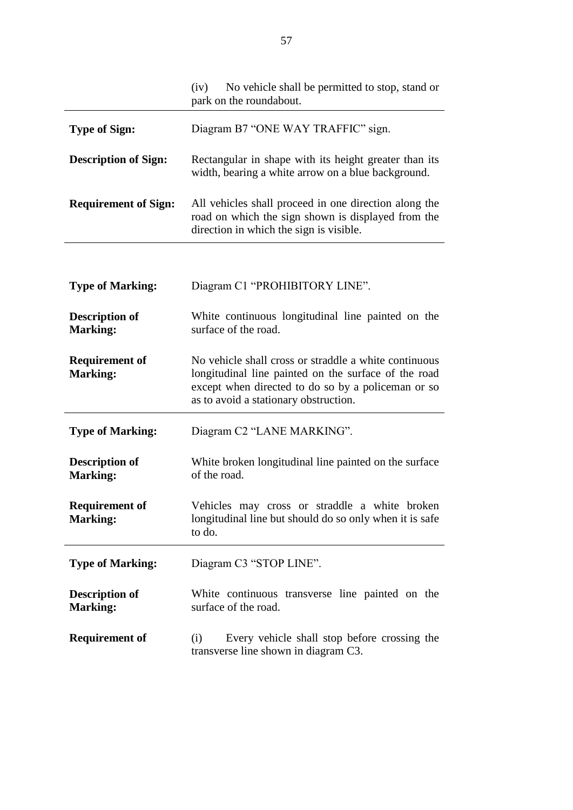|                                          | No vehicle shall be permitted to stop, stand or<br>(iv)<br>park on the roundabout.                                                                                                                           |
|------------------------------------------|--------------------------------------------------------------------------------------------------------------------------------------------------------------------------------------------------------------|
| <b>Type of Sign:</b>                     | Diagram B7 "ONE WAY TRAFFIC" sign.                                                                                                                                                                           |
| <b>Description of Sign:</b>              | Rectangular in shape with its height greater than its<br>width, bearing a white arrow on a blue background.                                                                                                  |
| <b>Requirement of Sign:</b>              | All vehicles shall proceed in one direction along the<br>road on which the sign shown is displayed from the<br>direction in which the sign is visible.                                                       |
|                                          |                                                                                                                                                                                                              |
| <b>Type of Marking:</b>                  | Diagram C1 "PROHIBITORY LINE".                                                                                                                                                                               |
| <b>Description of</b><br><b>Marking:</b> | White continuous longitudinal line painted on the<br>surface of the road.                                                                                                                                    |
| <b>Requirement of</b><br><b>Marking:</b> | No vehicle shall cross or straddle a white continuous<br>longitudinal line painted on the surface of the road<br>except when directed to do so by a policeman or so<br>as to avoid a stationary obstruction. |
| <b>Type of Marking:</b>                  | Diagram C2 "LANE MARKING".                                                                                                                                                                                   |
| <b>Description of</b><br><b>Marking:</b> | White broken longitudinal line painted on the surface<br>of the road.                                                                                                                                        |
| <b>Requirement of</b><br><b>Marking:</b> | Vehicles may cross or straddle a white broken<br>longitudinal line but should do so only when it is safe<br>to do.                                                                                           |
| <b>Type of Marking:</b>                  | Diagram C3 "STOP LINE".                                                                                                                                                                                      |
| <b>Description of</b><br><b>Marking:</b> | White continuous transverse line painted on the<br>surface of the road.                                                                                                                                      |
| <b>Requirement of</b>                    | Every vehicle shall stop before crossing the<br>(i)<br>transverse line shown in diagram C3.                                                                                                                  |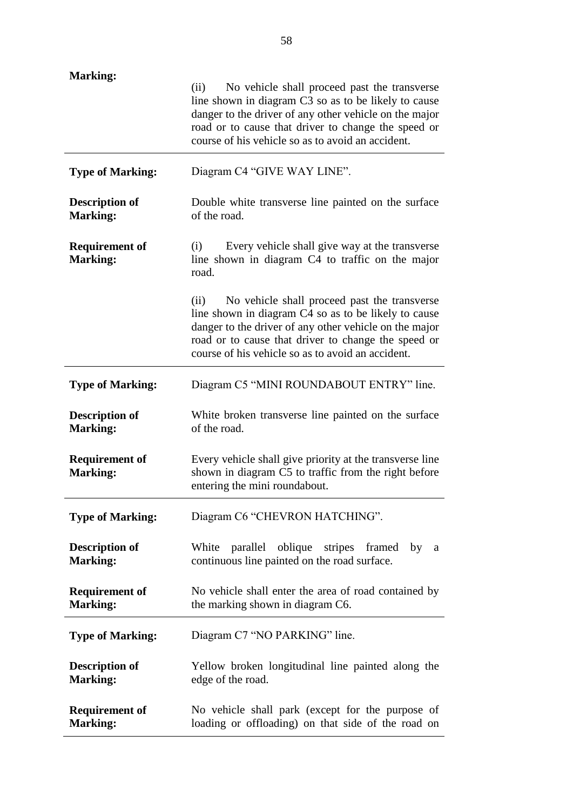| <b>Marking:</b>                          | (ii)<br>No vehicle shall proceed past the transverse<br>line shown in diagram C3 so as to be likely to cause<br>danger to the driver of any other vehicle on the major<br>road or to cause that driver to change the speed or<br>course of his vehicle so as to avoid an accident. |
|------------------------------------------|------------------------------------------------------------------------------------------------------------------------------------------------------------------------------------------------------------------------------------------------------------------------------------|
| <b>Type of Marking:</b>                  | Diagram C4 "GIVE WAY LINE".                                                                                                                                                                                                                                                        |
| <b>Description of</b><br><b>Marking:</b> | Double white transverse line painted on the surface<br>of the road.                                                                                                                                                                                                                |
| <b>Requirement of</b><br><b>Marking:</b> | Every vehicle shall give way at the transverse<br>(i)<br>line shown in diagram C4 to traffic on the major<br>road.                                                                                                                                                                 |
|                                          | No vehicle shall proceed past the transverse<br>(ii)<br>line shown in diagram C4 so as to be likely to cause<br>danger to the driver of any other vehicle on the major<br>road or to cause that driver to change the speed or<br>course of his vehicle so as to avoid an accident. |
| <b>Type of Marking:</b>                  | Diagram C5 "MINI ROUNDABOUT ENTRY" line.                                                                                                                                                                                                                                           |
| <b>Description of</b><br><b>Marking:</b> | White broken transverse line painted on the surface<br>of the road.                                                                                                                                                                                                                |
| <b>Requirement of</b><br><b>Marking:</b> | Every vehicle shall give priority at the transverse line<br>shown in diagram C5 to traffic from the right before<br>entering the mini roundabout.                                                                                                                                  |
| <b>Type of Marking:</b>                  | Diagram C6 "CHEVRON HATCHING".                                                                                                                                                                                                                                                     |
| <b>Description of</b><br><b>Marking:</b> | White parallel oblique stripes framed<br>by<br>a<br>continuous line painted on the road surface.                                                                                                                                                                                   |
| <b>Requirement of</b><br><b>Marking:</b> | No vehicle shall enter the area of road contained by<br>the marking shown in diagram C6.                                                                                                                                                                                           |
| <b>Type of Marking:</b>                  | Diagram C7 "NO PARKING" line.                                                                                                                                                                                                                                                      |
| <b>Description of</b><br><b>Marking:</b> | Yellow broken longitudinal line painted along the<br>edge of the road.                                                                                                                                                                                                             |
| <b>Requirement of</b><br><b>Marking:</b> | No vehicle shall park (except for the purpose of<br>loading or offloading) on that side of the road on                                                                                                                                                                             |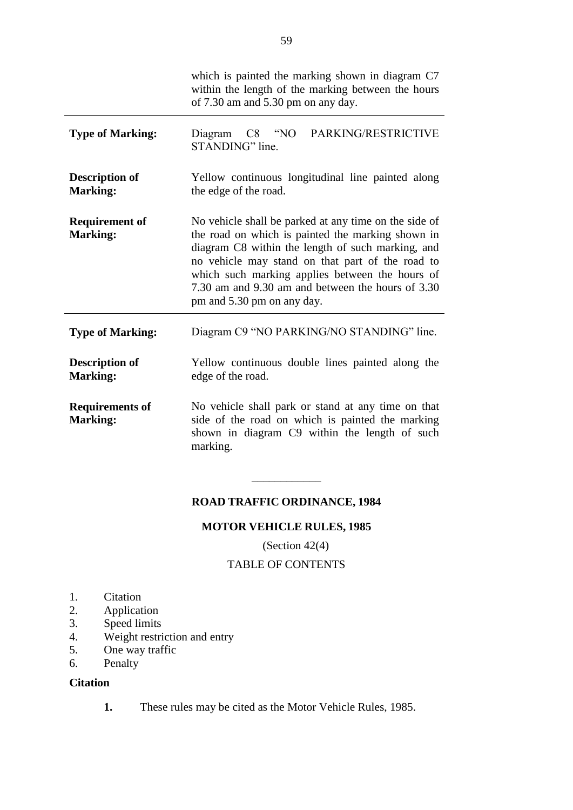|                                           | which is painted the marking shown in diagram C7<br>within the length of the marking between the hours<br>of 7.30 am and 5.30 pm on any day.                                                                                                                                                                                                              |  |  |
|-------------------------------------------|-----------------------------------------------------------------------------------------------------------------------------------------------------------------------------------------------------------------------------------------------------------------------------------------------------------------------------------------------------------|--|--|
| <b>Type of Marking:</b>                   | PARKING/RESTRICTIVE<br>"NO<br>Diagram<br>C8<br>STANDING" line.                                                                                                                                                                                                                                                                                            |  |  |
| <b>Description of</b><br><b>Marking:</b>  | Yellow continuous longitudinal line painted along<br>the edge of the road.                                                                                                                                                                                                                                                                                |  |  |
| <b>Requirement of</b><br><b>Marking:</b>  | No vehicle shall be parked at any time on the side of<br>the road on which is painted the marking shown in<br>diagram C8 within the length of such marking, and<br>no vehicle may stand on that part of the road to<br>which such marking applies between the hours of<br>7.30 am and 9.30 am and between the hours of 3.30<br>pm and 5.30 pm on any day. |  |  |
| <b>Type of Marking:</b>                   | Diagram C9 "NO PARKING/NO STANDING" line.                                                                                                                                                                                                                                                                                                                 |  |  |
| <b>Description of</b><br><b>Marking:</b>  | Yellow continuous double lines painted along the<br>edge of the road.                                                                                                                                                                                                                                                                                     |  |  |
| <b>Requirements of</b><br><b>Marking:</b> | No vehicle shall park or stand at any time on that<br>side of the road on which is painted the marking<br>shown in diagram C9 within the length of such<br>marking.                                                                                                                                                                                       |  |  |

# **ROAD TRAFFIC ORDINANCE, 1984**

\_\_\_\_\_\_\_\_\_\_\_\_

# **MOTOR VEHICLE RULES, 1985**

(Section 42(4)

# TABLE OF CONTENTS

- 1. Citation<br>2. Applicat
- Application
- 3. Speed limits
- 4. Weight restriction and entry
- 5. One way traffic
- 6. Penalty

# **Citation**

**1.** These rules may be cited as the Motor Vehicle Rules, 1985.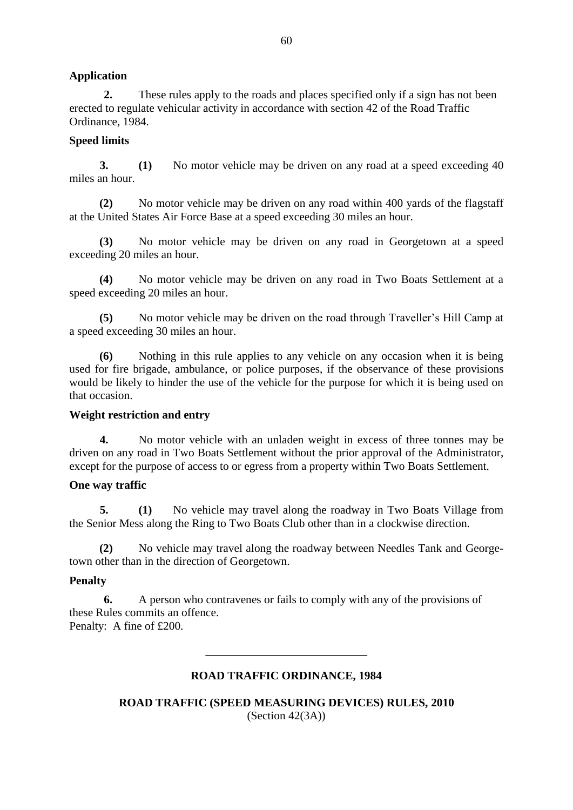# **Application**

**2.** These rules apply to the roads and places specified only if a sign has not been erected to regulate vehicular activity in accordance with section 42 of the Road Traffic Ordinance, 1984.

### **Speed limits**

**3. (1)** No motor vehicle may be driven on any road at a speed exceeding 40 miles an hour.

**(2)** No motor vehicle may be driven on any road within 400 yards of the flagstaff at the United States Air Force Base at a speed exceeding 30 miles an hour.

**(3)** No motor vehicle may be driven on any road in Georgetown at a speed exceeding 20 miles an hour.

**(4)** No motor vehicle may be driven on any road in Two Boats Settlement at a speed exceeding 20 miles an hour.

**(5)** No motor vehicle may be driven on the road through Traveller's Hill Camp at a speed exceeding 30 miles an hour.

**(6)** Nothing in this rule applies to any vehicle on any occasion when it is being used for fire brigade, ambulance, or police purposes, if the observance of these provisions would be likely to hinder the use of the vehicle for the purpose for which it is being used on that occasion.

### **Weight restriction and entry**

**4.** No motor vehicle with an unladen weight in excess of three tonnes may be driven on any road in Two Boats Settlement without the prior approval of the Administrator, except for the purpose of access to or egress from a property within Two Boats Settlement.

### **One way traffic**

**5. (1)** No vehicle may travel along the roadway in Two Boats Village from the Senior Mess along the Ring to Two Boats Club other than in a clockwise direction.

**(2)** No vehicle may travel along the roadway between Needles Tank and Georgetown other than in the direction of Georgetown.

### **Penalty**

**6.** A person who contravenes or fails to comply with any of the provisions of these Rules commits an offence. Penalty: A fine of £200.

### **ROAD TRAFFIC ORDINANCE, 1984**

**\_\_\_\_\_\_\_\_\_\_\_\_\_\_\_\_\_\_\_\_\_\_\_\_\_\_\_\_**

**ROAD TRAFFIC (SPEED MEASURING DEVICES) RULES, 2010**  $(Section 42(3A))$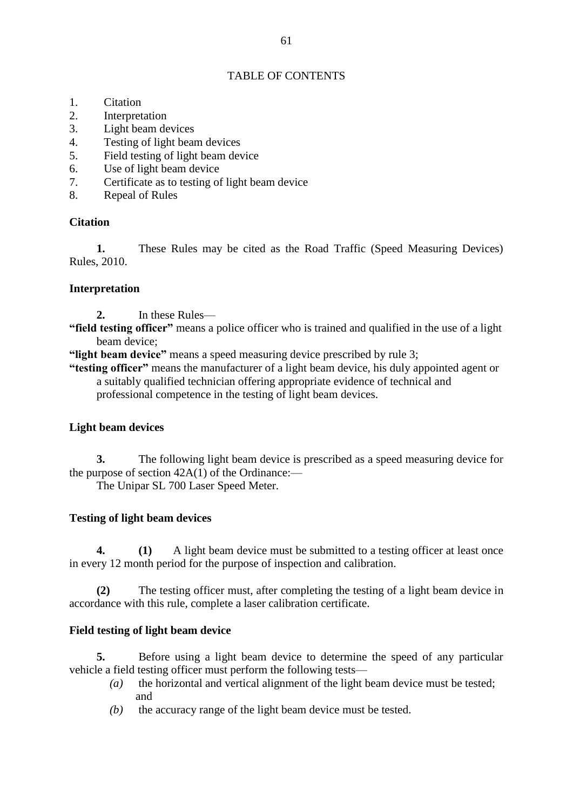# TABLE OF CONTENTS

- 1. Citation
- 2. Interpretation
- 3. Light beam devices
- 4. Testing of light beam devices
- 5. Field testing of light beam device
- 6. Use of light beam device
- 7. Certificate as to testing of light beam device
- 8. Repeal of Rules

# **Citation**

**1.** These Rules may be cited as the Road Traffic (Speed Measuring Devices) Rules, 2010.

# **Interpretation**

- **2.** In these Rules—
- **"field testing officer"** means a police officer who is trained and qualified in the use of a light beam device;
- **"light beam device"** means a speed measuring device prescribed by rule 3;
- **"testing officer"** means the manufacturer of a light beam device, his duly appointed agent or a suitably qualified technician offering appropriate evidence of technical and professional competence in the testing of light beam devices.

# **Light beam devices**

**3.** The following light beam device is prescribed as a speed measuring device for the purpose of section  $42A(1)$  of the Ordinance:—

The Unipar SL 700 Laser Speed Meter.

# **Testing of light beam devices**

**4. (1)** A light beam device must be submitted to a testing officer at least once in every 12 month period for the purpose of inspection and calibration.

**(2)** The testing officer must, after completing the testing of a light beam device in accordance with this rule, complete a laser calibration certificate.

# **Field testing of light beam device**

**5.** Before using a light beam device to determine the speed of any particular vehicle a field testing officer must perform the following tests—

- *(a)* the horizontal and vertical alignment of the light beam device must be tested; and
- *(b)* the accuracy range of the light beam device must be tested.